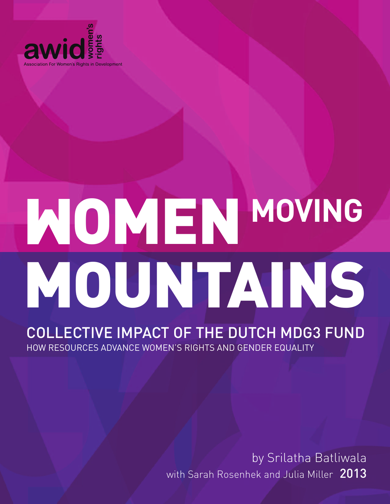

# **OMEN MOVING M MOUNTAINS**

COLLECTIVE IMPACT OF THE DUTCH MDG3 FUND HOW RESOURCES ADVANCE WOMEN'S RIGHTS AND GENDER EQUALITY

> by Srilatha Batliwala with Sarah Rosenhek and Julia Miller 2013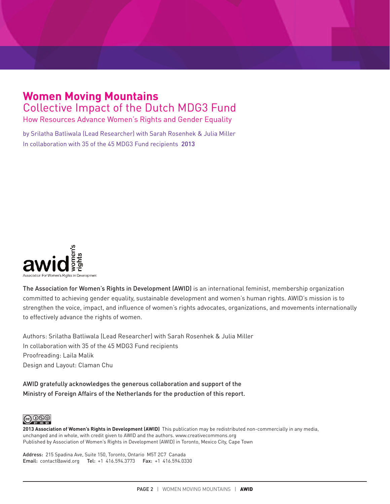### **Women Moving Mountains** Collective Impact of the Dutch MDG3 Fund

How Resources Advance Women's Rights and Gender Equality

by Srilatha Batliwala (Lead Researcher) with Sarah Rosenhek & Julia Miller In collaboration with 35 of the 45 MDG3 Fund recipients 2013



The Association for Women's Rights in Development (AWID) is an international feminist, membership organization committed to achieving gender equality, sustainable development and women's human rights. AWID's mission is to strengthen the voice, impact, and influence of women's rights advocates, organizations, and movements internationally to effectively advance the rights of women.

Authors: Srilatha Batliwala (Lead Researcher) with Sarah Rosenhek & Julia Miller In collaboration with 35 of the 45 MDG3 Fund recipients Proofreading: Laila Malik Design and Layout: Claman Chu

AWID gratefully acknowledges the generous collaboration and support of the Ministry of Foreign Affairs of the Netherlands for the production of this report.



**2013 Association of Women's Rights in Development (AWID)** This publication may be redistributed non-commercially in any media, unchanged and in whole, with credit given to AWID and the authors. www.creativecommons.org Published by Association of Women's Rights in Development (AWID) in Toronto, Mexico City, Cape Town

Address: 215 Spadina Ave, Suite 150, Toronto, Ontario M5T 2C7 Canada Email: contact@awid.org Tel: +1 416.594.3773 Fax: +1 416.594.0330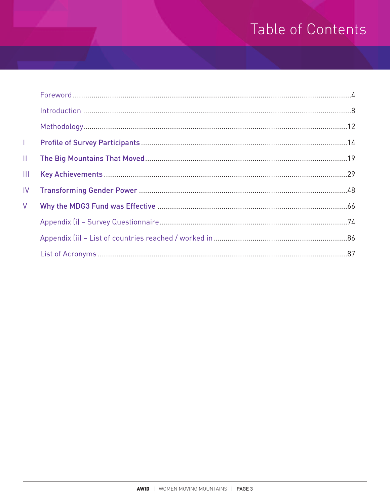## Table of Contents

| T.  |  |
|-----|--|
| Ш.  |  |
| Ш   |  |
| IV. |  |
| V   |  |
|     |  |
|     |  |
|     |  |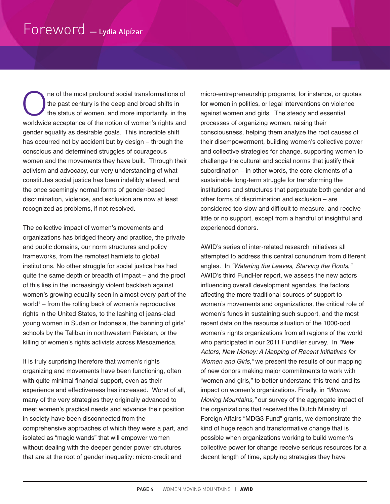One of the most profound social transformations of<br>the past century is the deep and broad shifts in<br>the status of women, and more importantly, in the<br>worldwide assentance of the patien of wemen's rights and the past century is the deep and broad shifts in the status of women, and more importantly, in the worldwide acceptance of the notion of women's rights and gender equality as desirable goals. This incredible shift has occurred not by accident but by design – through the conscious and determined struggles of courageous women and the movements they have built. Through their activism and advocacy, our very understanding of what constitutes social justice has been indelibly altered, and the once seemingly normal forms of gender-based discrimination, violence, and exclusion are now at least recognized as problems, if not resolved.

The collective impact of women's movements and organizations has bridged theory and practice, the private and public domains, our norm structures and policy frameworks, from the remotest hamlets to global institutions. No other struggle for social justice has had quite the same depth or breadth of impact – and the proof of this lies in the increasingly violent backlash against women's growing equality seen in almost every part of the world<sup>1</sup> – from the rolling back of women's reproductive rights in the United States, to the lashing of jeans-clad young women in Sudan or Indonesia, the banning of girls' schools by the Taliban in northwestern Pakistan, or the killing of women's rights activists across Mesoamerica.

It is truly surprising therefore that women's rights organizing and movements have been functioning, often with quite minimal financial support, even as their experience and effectiveness has increased. Worst of all, many of the very strategies they originally advanced to meet women's practical needs and advance their position in society have been disconnected from the comprehensive approaches of which they were a part, and isolated as "magic wands" that will empower women without dealing with the deeper gender power structures that are at the root of gender inequality: micro-credit and

micro-entrepreneurship programs, for instance, or quotas for women in politics, or legal interventions on violence against women and girls. The steady and essential processes of organizing women, raising their consciousness, helping them analyze the root causes of their disempowerment, building women's collective power and collective strategies for change, supporting women to challenge the cultural and social norms that justify their subordination – in other words, the core elements of a sustainable long-term struggle for transforming the institutions and structures that perpetuate both gender and other forms of discrimination and exclusion – are considered too slow and difficult to measure, and receive little or no support, except from a handful of insightful and experienced donors.

AWID's series of inter-related research initiatives all attempted to address this central conundrum from different angles. In *"Watering the Leaves, Starving the Roots*,*"* AWID's third FundHer report, we assess the new actors influencing overall development agendas, the factors affecting the more traditional sources of support to women's movements and organizations, the critical role of women's funds in sustaining such support, and the most recent data on the resource situation of the 1000-odd women's rights organizations from all regions of the world who participated in our 2011 FundHer survey. In *"New Actors, New Money: A Mapping of Recent Initiatives for Women and Girls*,*"* we present the results of our mapping of new donors making major commitments to work with "women and girls," to better understand this trend and its impact on women's organizations. Finally, in *"Women Moving Mountains,"* our survey of the aggregate impact of the organizations that received the Dutch Ministry of Foreign Affairs "MDG3 Fund" grants, we demonstrate the kind of huge reach and transformative change that is possible when organizations working to build women's collective power for change receive serious resources for a decent length of time, applying strategies they have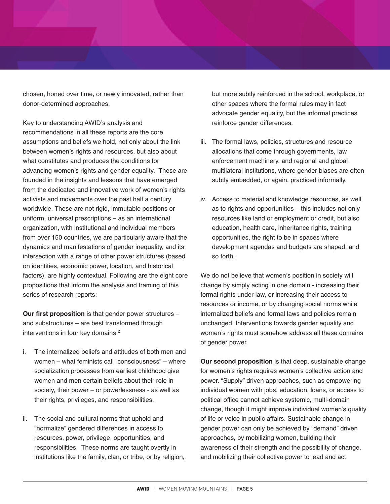chosen, honed over time, or newly innovated, rather than donor-determined approaches.

Key to understanding AWID's analysis and recommendations in all these reports are the core assumptions and beliefs we hold, not only about the link between women's rights and resources, but also about what constitutes and produces the conditions for advancing women's rights and gender equality. These are founded in the insights and lessons that have emerged from the dedicated and innovative work of women's rights activists and movements over the past half a century worldwide. These are not rigid, immutable positions or uniform, universal prescriptions – as an international organization, with institutional and individual members from over 150 countries, we are particularly aware that the dynamics and manifestations of gender inequality, and its intersection with a range of other power structures (based on identities, economic power, location, and historical factors), are highly contextual. Following are the eight core propositions that inform the analysis and framing of this series of research reports:

**Our first proposition** is that gender power structures – and substructures – are best transformed through interventions in four key domains: 2

- i. The internalized beliefs and attitudes of both men and women – what feminists call "consciousness" – where socialization processes from earliest childhood give women and men certain beliefs about their role in society, their power – or powerlessness - as well as their rights, privileges, and responsibilities.
- ii. The social and cultural norms that uphold and "normalize" gendered differences in access to resources, power, privilege, opportunities, and responsibilities. These norms are taught overtly in institutions like the family, clan, or tribe, or by religion,

but more subtly reinforced in the school, workplace, or other spaces where the formal rules may in fact advocate gender equality, but the informal practices reinforce gender differences.

- iii. The formal laws, policies, structures and resource allocations that come through governments, law enforcement machinery, and regional and global multilateral institutions, where gender biases are often subtly embedded, or again, practiced informally.
- iv. Access to material and knowledge resources, as well as to rights and opportunities – this includes not only resources like land or employment or credit, but also education, health care, inheritance rights, training opportunities, the right to be in spaces where development agendas and budgets are shaped, and so forth.

We do not believe that women's position in society will change by simply acting in one domain - increasing their formal rights under law, or increasing their access to resources or income, or by changing social norms while internalized beliefs and formal laws and policies remain unchanged. Interventions towards gender equality and women's rights must somehow address all these domains of gender power.

**Our second proposition** is that deep, sustainable change for women's rights requires women's collective action and power. "Supply" driven approaches, such as empowering individual women with jobs, education, loans, or access to political office cannot achieve systemic, multi-domain change, though it might improve individual women's quality of life or voice in public affairs. Sustainable change in gender power can only be achieved by "demand" driven approaches, by mobilizing women, building their awareness of their strength and the possibility of change, and mobilizing their collective power to lead and act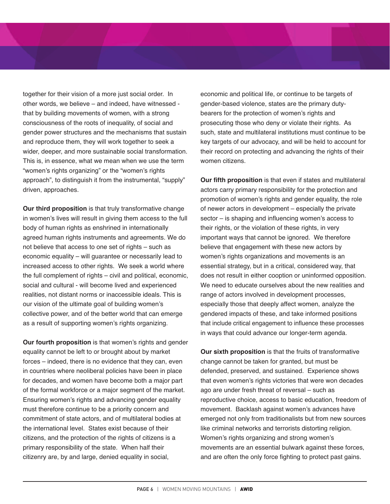together for their vision of a more just social order. In other words, we believe – and indeed, have witnessed that by building movements of women, with a strong consciousness of the roots of inequality, of social and gender power structures and the mechanisms that sustain and reproduce them, they will work together to seek a wider, deeper, and more sustainable social transformation. This is, in essence, what we mean when we use the term "women's rights organizing" or the "women's rights approach", to distinguish it from the instrumental, "supply" driven, approaches.

**Our third proposition** is that truly transformative change in women's lives will result in giving them access to the full body of human rights as enshrined in internationally agreed human rights instruments and agreements. We do not believe that access to one set of rights – such as economic equality – will guarantee or necessarily lead to increased access to other rights. We seek a world where the full complement of rights – civil and political, economic, social and cultural - will become lived and experienced realities, not distant norms or inaccessible ideals. This is our vision of the ultimate goal of building women's collective power, and of the better world that can emerge as a result of supporting women's rights organizing.

**Our fourth proposition** is that women's rights and gender equality cannot be left to or brought about by market forces – indeed, there is no evidence that they can, even in countries where neoliberal policies have been in place for decades, and women have become both a major part of the formal workforce or a major segment of the market. Ensuring women's rights and advancing gender equality must therefore continue to be a priority concern and commitment of state actors, and of multilateral bodies at the international level. States exist because of their citizens, and the protection of the rights of citizens is a primary responsibility of the state. When half their citizenry are, by and large, denied equality in social,

economic and political life, or continue to be targets of gender-based violence, states are the primary dutybearers for the protection of women's rights and prosecuting those who deny or violate their rights. As such, state and multilateral institutions must continue to be key targets of our advocacy, and will be held to account for their record on protecting and advancing the rights of their women citizens.

**Our fifth proposition** is that even if states and multilateral actors carry primary responsibility for the protection and promotion of women's rights and gender equality, the role of newer actors in development – especially the private sector – is shaping and influencing women's access to their rights, or the violation of these rights, in very important ways that cannot be ignored. We therefore believe that engagement with these new actors by women's rights organizations and movements is an essential strategy, but in a critical, considered way, that does not result in either cooption or uninformed opposition. We need to educate ourselves about the new realities and range of actors involved in development processes, especially those that deeply affect women, analyze the gendered impacts of these, and take informed positions that include critical engagement to influence these processes in ways that could advance our longer-term agenda.

**Our sixth proposition** is that the fruits of transformative change cannot be taken for granted, but must be defended, preserved, and sustained. Experience shows that even women's rights victories that were won decades ago are under fresh threat of reversal – such as reproductive choice, access to basic education, freedom of movement. Backlash against women's advances have emerged not only from traditionalists but from new sources like criminal networks and terrorists distorting religion. Women's rights organizing and strong women's movements are an essential bulwark against these forces, and are often the only force fighting to protect past gains.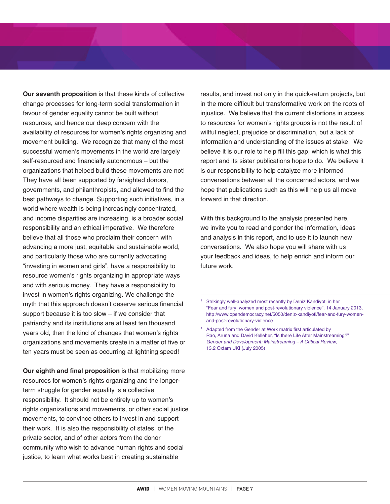**Our seventh proposition** is that these kinds of collective change processes for long-term social transformation in favour of gender equality cannot be built without resources, and hence our deep concern with the availability of resources for women's rights organizing and movement building. We recognize that many of the most successful women's movements in the world are largely self-resourced and financially autonomous – but the organizations that helped build these movements are not! They have all been supported by farsighted donors, governments, and philanthropists, and allowed to find the best pathways to change. Supporting such initiatives, in a world where wealth is being increasingly concentrated, and income disparities are increasing, is a broader social responsibility and an ethical imperative. We therefore believe that all those who proclaim their concern with advancing a more just, equitable and sustainable world, and particularly those who are currently advocating "investing in women and girls", have a responsibility to resource women's rights organizing in appropriate ways and with serious money. They have a responsibility to invest in women's rights organizing. We challenge the myth that this approach doesn't deserve serious financial support because it is too slow – if we consider that patriarchy and its institutions are at least ten thousand years old, then the kind of changes that women's rights organizations and movements create in a matter of five or ten years must be seen as occurring at lightning speed!

**Our eighth and final proposition** is that mobilizing more resources for women's rights organizing and the longerterm struggle for gender equality is a collective responsibility. It should not be entirely up to women's rights organizations and movements, or other social justice movements, to convince others to invest in and support their work. It is also the responsibility of states, of the private sector, and of other actors from the donor community who wish to advance human rights and social justice, to learn what works best in creating sustainable

results, and invest not only in the quick-return projects, but in the more difficult but transformative work on the roots of injustice. We believe that the current distortions in access to resources for women's rights groups is not the result of willful neglect, prejudice or discrimination, but a lack of information and understanding of the issues at stake. We believe it is our role to help fill this gap, which is what this report and its sister publications hope to do. We believe it is our responsibility to help catalyze more informed conversations between all the concerned actors, and we hope that publications such as this will help us all move forward in that direction.

With this background to the analysis presented here, we invite you to read and ponder the information, ideas and analysis in this report, and to use it to launch new conversations. We also hope you will share with us your feedback and ideas, to help enrich and inform our future work.

<sup>1</sup> Strikingly well-analyzed most recently by Deniz Kandiyoti in her "Fear and fury: women and post-revolutionary violence", 14 January 2013, http://www.opendemocracy.net/5050/deniz-kandiyoti/fear-and-fury-womenand-post-revolutionary-violence

<sup>&</sup>lt;sup>2</sup> Adapted from the Gender at Work matrix first articulated by Rao, Aruna and David Kelleher, "Is there Life After Mainstreaming?" *Gender and Development: Mainstreaming – A Critical Review*, 13.2 Oxfam UKI (July 2005)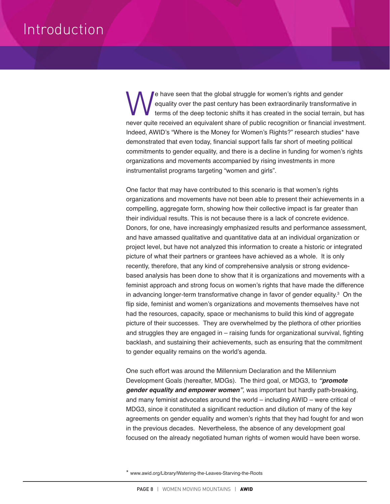## Introduction

e have seen that the global struggle for women's rights and gender equality over the past century has been extraordinarily transformative in terms of the deep tectonic shifts it has created in the social terrain, but has never quite received an equivalent share of public recognition or financial investment. Indeed, AWID's "Where is the Money for Women's Rights?" research studies\* have demonstrated that even today, financial support falls far short of meeting political commitments to gender equality, and there is a decline in funding for women's rights organizations and movements accompanied by rising investments in more instrumentalist programs targeting "women and girls".

One factor that may have contributed to this scenario is that women's rights organizations and movements have not been able to present their achievements in a compelling, aggregate form, showing how their collective impact is far greater than their individual results. This is not because there is a lack of concrete evidence. Donors, for one, have increasingly emphasized results and performance assessment, and have amassed qualitative and quantitative data at an individual organization or project level, but have not analyzed this information to create a historic or integrated picture of what their partners or grantees have achieved as a whole. It is only recently, therefore, that any kind of comprehensive analysis or strong evidencebased analysis has been done to show that it is organizations and movements with a feminist approach and strong focus on women's rights that have made the difference in advancing longer-term transformative change in favor of gender equality. <sup>3</sup> On the flip side, feminist and women's organizations and movements themselves have not had the resources, capacity, space or mechanisms to build this kind of aggregate picture of their successes. They are overwhelmed by the plethora of other priorities and struggles they are engaged in – raising funds for organizational survival, fighting backlash, and sustaining their achievements, such as ensuring that the commitment to gender equality remains on the world's agenda.

One such effort was around the Millennium Declaration and the Millennium Development Goals (hereafter, MDGs). The third goal, or MDG3, to *"promote gender equality and empower women"*, was important but hardly path-breaking, and many feminist advocates around the world – including AWID – were critical of MDG3, since it constituted a significant reduction and dilution of many of the key agreements on gender equality and women's rights that they had fought for and won in the previous decades. Nevertheless, the absence of any development goal focused on the already negotiated human rights of women would have been worse.

\* www.awid.org/Library/Watering-the-Leaves-Starving-the-Roots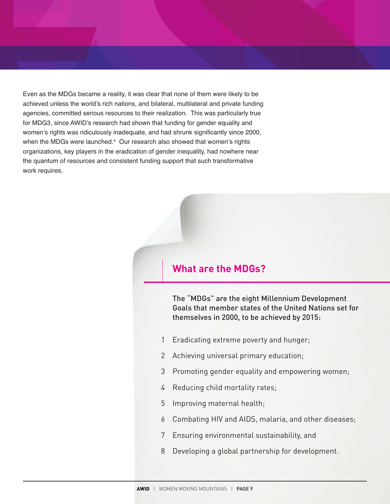Even as the MDGs became a reality, it was clear that none of them were likely to be achieved unless the world's rich nations, and bilateral, multilateral and private funding agencies, committed serious resources to their realization. This was particularly true for MDG3, since AWID's research had shown that funding for gender equality and women's rights was ridiculously inadequate, and had shrunk significantly since 2000, when the MDGs were launched. <sup>4</sup> Our research also showed that women's rights organizations, key players in the eradication of gender inequality, had nowhere near the quantum of resources and consistent funding support that such transformative work requires.

#### **What are the MDGs?**

The "MDGs" are the eight Millennium Development Goals that member states of the United Nations set for themselves in 2000, to be achieved by 2015:

- 1 Eradicating extreme poverty and hunger;
- 2 Achieving universal primary education;
- 3 Promoting gender equality and empowering women;
- 4 Reducing child mortality rates;
- 5 Improving maternal health;
- 6 Combating HIV and AIDS, malaria, and other diseases;
- 7 Ensuring environmental sustainability, and
- 8 Developing a global partnership for development.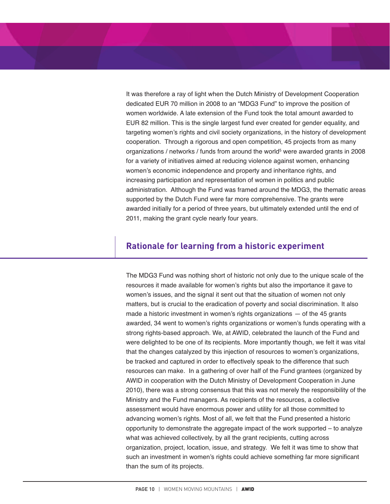It was therefore a ray of light when the Dutch Ministry of Development Cooperation dedicated EUR 70 million in 2008 to an "MDG3 Fund" to improve the position of women worldwide. A late extension of the Fund took the total amount awarded to EUR 82 million. This is the single largest fund ever created for gender equality, and targeting women's rights and civil society organizations, in the history of development cooperation. Through a rigorous and open competition, 45 projects from as many organizations / networks / funds from around the world $5$  were awarded grants in 2008 for a variety of initiatives aimed at reducing violence against women, enhancing women's economic independence and property and inheritance rights, and increasing participation and representation of women in politics and public administration. Although the Fund was framed around the MDG3, the thematic areas supported by the Dutch Fund were far more comprehensive. The grants were awarded initially for a period of three years, but ultimately extended until the end of 2011, making the grant cycle nearly four years.

#### **Rationale for learning from a historic experiment**

The MDG3 Fund was nothing short of historic not only due to the unique scale of the resources it made available for women's rights but also the importance it gave to women's issues, and the signal it sent out that the situation of women not only matters, but is crucial to the eradication of poverty and social discrimination. It also made a historic investment in women's rights organizations *—* of the 45 grants awarded, 34 went to women's rights organizations or women's funds operating with a strong rights-based approach. We, at AWID, celebrated the launch of the Fund and were delighted to be one of its recipients. More importantly though, we felt it was vital that the changes catalyzed by this injection of resources to women's organizations, be tracked and captured in order to effectively speak to the difference that such resources can make. In a gathering of over half of the Fund grantees (organized by AWID in cooperation with the Dutch Ministry of Development Cooperation in June 2010), there was a strong consensus that this was not merely the responsibility of the Ministry and the Fund managers. As recipients of the resources, a collective assessment would have enormous power and utility for all those committed to advancing women's rights. Most of all, we felt that the Fund presented a historic opportunity to demonstrate the aggregate impact of the work supported – to analyze what was achieved collectively, by all the grant recipients, cutting across organization, project, location, issue, and strategy. We felt it was time to show that such an investment in women's rights could achieve something far more significant than the sum of its projects.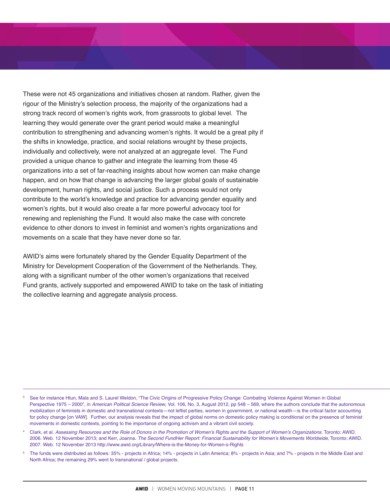These were not 45 organizations and initiatives chosen at random. Rather, given the rigour of the Ministry's selection process, the majority of the organizations had a strong track record of women's rights work, from grassroots to global level. The learning they would generate over the grant period would make a meaningful contribution to strengthening and advancing women's rights. It would be a great pity if the shifts in knowledge, practice, and social relations wrought by these projects, individually and collectively, were not analyzed at an aggregate level. The Fund provided a unique chance to gather and integrate the learning from these 45 organizations into a set of far-reaching insights about how women can make change happen, and on how that change is advancing the larger global goals of sustainable development, human rights, and social justice. Such a process would not only contribute to the world's knowledge and practice for advancing gender equality and women's rights, but it would also create a far more powerful advocacy tool for renewing and replenishing the Fund. It would also make the case with concrete evidence to other donors to invest in feminist and women's rights organizations and movements on a scale that they have never done so far.

AWID's aims were fortunately shared by the Gender Equality Department of the Ministry for Development Cooperation of the Government of the Netherlands. They, along with a significant number of the other women's organizations that received Fund grants, actively supported and empowered AWID to take on the task of initiating the collective learning and aggregate analysis process.

<sup>&</sup>lt;sup>3</sup> See for instance Htun, Mala and S. Laurel Weldon, "The Civic Origins of Progressive Policy Change: Combating Violence Against Women in Global Perspective 1975 – 2000", in *American Political Science Review*, Vol. 106, No. 3, August 2012, pp 548 – 569, where the authors conclude that the autonomous mobilization of feminists in domestic and transnational contexts—not leftist parties, women in government, or national wealth—is the critical factor accounting for policy change [on VAW]. Further, our analysis reveals that the impact of global norms on domestic policy making is conditional on the presence of feminist movements in domestic contexts, pointing to the importance of ongoing activism and a vibrant civil society.

<sup>4</sup> Clark, et al. Assessing Resources and the Role of Donors in the Promotion of Women's Rights and the Support of Women's Organizations, Toronto: AWID. 2006. Web. 12 November 2013; and Kerr, Joanna. *The Second FundHer Report: Financial Sustainability for Women's Movements Worldwide*, Toronto: AWID. 2007. Web. 12 November 2013 http://www.awid.org/Library/Where-is-the-Money-for-Women-s-Rights

<sup>5</sup> The funds were distributed as follows: 35% - projects in Africa; 14% - projects in Latin America; 8% - projects in Asia; and 7% - projects in the Middle East and North Africa; the remaining 29% went to transnational / global projects.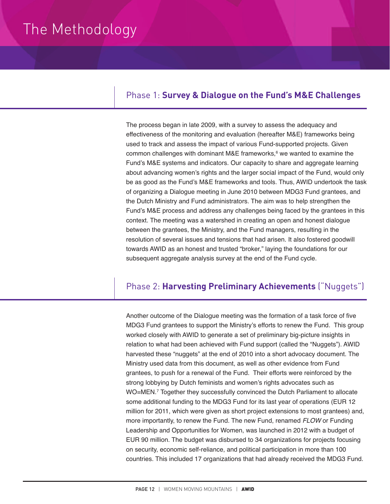## The Methodology

#### Phase 1: **Survey & Dialogue on the Fund's M&E Challenges**

The process began in late 2009, with a survey to assess the adequacy and effectiveness of the monitoring and evaluation (hereafter M&E) frameworks being used to track and assess the impact of various Fund-supported projects. Given common challenges with dominant M&E frameworks, <sup>6</sup> we wanted to examine the Fund's M&E systems and indicators. Our capacity to share and aggregate learning about advancing women's rights and the larger social impact of the Fund, would only be as good as the Fund's M&E frameworks and tools. Thus, AWID undertook the task of organizing a Dialogue meeting in June 2010 between MDG3 Fund grantees, and the Dutch Ministry and Fund administrators. The aim was to help strengthen the Fund's M&E process and address any challenges being faced by the grantees in this context. The meeting was a watershed in creating an open and honest dialogue between the grantees, the Ministry, and the Fund managers, resulting in the resolution of several issues and tensions that had arisen. It also fostered goodwill towards AWID as an honest and trusted "broker," laying the foundations for our subsequent aggregate analysis survey at the end of the Fund cycle.

#### Phase 2: **Harvesting Preliminary Achievements** ("Nuggets")

Another outcome of the Dialogue meeting was the formation of a task force of five MDG3 Fund grantees to support the Ministry's efforts to renew the Fund. This group worked closely with AWID to generate a set of preliminary big-picture insights in relation to what had been achieved with Fund support (called the "Nuggets"). AWID harvested these "nuggets" at the end of 2010 into a short advocacy document. The Ministry used data from this document, as well as other evidence from Fund grantees, to push for a renewal of the Fund. Their efforts were reinforced by the strong lobbying by Dutch feminists and women's rights advocates such as WO=MEN. <sup>7</sup> Together they successfully convinced the Dutch Parliament to allocate some additional funding to the MDG3 Fund for its last year of operations (EUR 12 million for 2011, which were given as short project extensions to most grantees) and, more importantly, to renew the Fund. The new Fund, renamed *FLOW* or Funding Leadership and Opportunities for Women, was launched in 2012 with a budget of EUR 90 million. The budget was disbursed to 34 organizations for projects focusing on security, economic self-reliance, and political participation in more than 100 countries. This included 17 organizations that had already received the MDG3 Fund.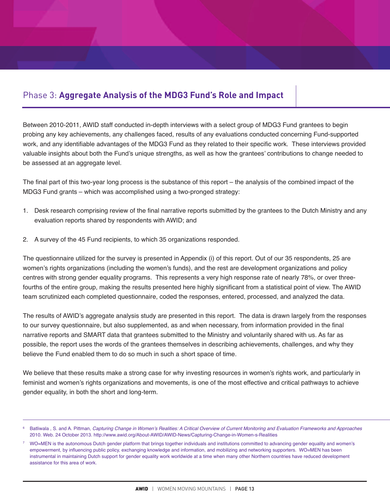#### Phase 3: **Aggregate Analysis of the MDG3 Fund's Role and Impact**

Between 2010-2011, AWID staff conducted in-depth interviews with a select group of MDG3 Fund grantees to begin probing any key achievements, any challenges faced, results of any evaluations conducted concerning Fund-supported work, and any identifiable advantages of the MDG3 Fund as they related to their specific work. These interviews provided valuable insights about both the Fund's unique strengths, as well as how the grantees' contributions to change needed to be assessed at an aggregate level.

The final part of this two-year long process is the substance of this report – the analysis of the combined impact of the MDG3 Fund grants – which was accomplished using a two-pronged strategy:

- 1. Desk research comprising review of the final narrative reports submitted by the grantees to the Dutch Ministry and any evaluation reports shared by respondents with AWID; and
- 2. A survey of the 45 Fund recipients, to which 35 organizations responded.

The questionnaire utilized for the survey is presented in Appendix (i) of this report. Out of our 35 respondents, 25 are women's rights organizations (including the women's funds), and the rest are development organizations and policy centres with strong gender equality programs. This represents a very high response rate of nearly 78%, or over threefourths of the entire group, making the results presented here highly significant from a statistical point of view. The AWID team scrutinized each completed questionnaire, coded the responses, entered, processed, and analyzed the data.

The results of AWID's aggregate analysis study are presented in this report. The data is drawn largely from the responses to our survey questionnaire, but also supplemented, as and when necessary, from information provided in the final narrative reports and SMART data that grantees submitted to the Ministry and voluntarily shared with us. As far as possible, the report uses the words of the grantees themselves in describing achievements, challenges, and why they believe the Fund enabled them to do so much in such a short space of time.

We believe that these results make a strong case for why investing resources in women's rights work, and particularly in feminist and women's rights organizations and movements, is one of the most effective and critical pathways to achieve gender equality, in both the short and long-term.

Batliwala, S. and A. Pittman, Capturing Change in Women's Realities: A Critical Overview of Current Monitoring and Evaluation Frameworks and Approaches 2010. Web. 24 October 2013. http://www.awid.org/About-AWID/AWID-News/Capturing-Change-in-Women-s-Realities

<sup>7</sup> WO=MEN is the autonomous Dutch gender platform that brings together individuals and institutions committed to advancing gender equality and women's empowerment, by influencing public policy, exchanging knowledge and information, and mobilizing and networking supporters. WO=MEN has been instrumental in maintaining Dutch support for gender equality work worldwide at a time when many other Northern countries have reduced development assistance for this area of work.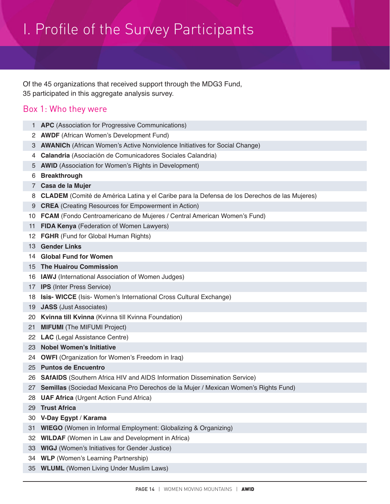Of the 45 organizations that received support through the MDG3 Fund, participated in this aggregate analysis survey.

#### Box 1: Who they were

- **APC** (Association for Progressive Communications)
- **AWDF** (African Women's Development Fund)
- **AWANICh** (African Women's Active Nonviolence Initiatives for Social Change)
- **Calandria** (Asociación de Comunicadores Sociales Calandria)
- **AWID** (Association for Women's Rights in Development)
- **Breakthrough**
- **Casa de la Mujer**
- **CLADEM** (Comité de América Latina y el Caribe para la Defensa de los Derechos de las Mujeres)
- **CREA** (Creating Resources for Empowerment in Action)
- **FCAM** (Fondo Centroamericano de Mujeres / Central American Women's Fund)
- **FIDA Kenya** (Federation of Women Lawyers)
- **FGHR** (Fund for Global Human Rights)
- **Gender Links**
- **Global Fund for Women**
- **The Huairou Commission**
- **IAWJ** (International Association of Women Judges)
- **IPS** (Inter Press Service)
- **Isis- WICCE** (Isis- Women's International Cross Cultural Exchange)
- **JASS** (Just Associates)
- **Kvinna till Kvinna** (Kvinna till Kvinna Foundation)
- **MIFUMI** (The MIFUMI Project)
- **LAC** (Legal Assistance Centre)
- **Nobel Women's Initiative**
- **OWFI** (Organization for Women's Freedom in Iraq)
- **Puntos de Encuentro**
- **SAfAIDS** (Southern Africa HIV and AIDS Information Dissemination Service)
- **Semillas** (Sociedad Mexicana Pro Derechos de la Mujer / Mexican Women's Rights Fund)
- **UAF Africa** (Urgent Action Fund Africa)
- **Trust Africa**
- **V-Day Egypt** / **Karama**
- **WIEGO** (Women in Informal Employment: Globalizing & Organizing)
- **WILDAF** (Women in Law and Development in Africa)
- **WIGJ** (Women's Initiatives for Gender Justice)
- **WLP** (Women's Learning Partnership)
- **WLUML** (Women Living Under Muslim Laws)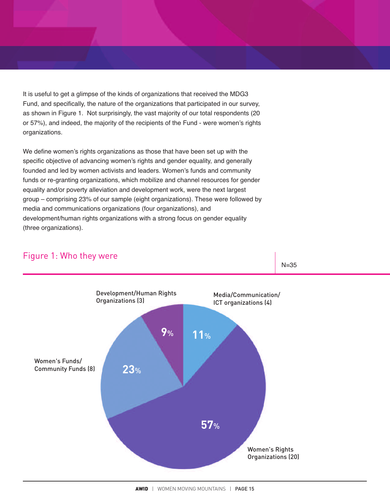It is useful to get a glimpse of the kinds of organizations that received the MDG3 Fund, and specifically, the nature of the organizations that participated in our survey, as shown in Figure 1. Not surprisingly, the vast majority of our total respondents (20 or 57%), and indeed, the majority of the recipients of the Fund - were women's rights organizations.

We define women's rights organizations as those that have been set up with the specific objective of advancing women's rights and gender equality, and generally founded and led by women activists and leaders. Women's funds and community funds or re-granting organizations, which mobilize and channel resources for gender equality and/or poverty alleviation and development work, were the next largest group – comprising 23% of our sample (eight organizations). These were followed by media and communications organizations (four organizations), and development/human rights organizations with a strong focus on gender equality (three organizations).



#### Figure 1: Who they were

**AWID** | WOMEN MOVING MOUNTAINS | PAGE 15

N=35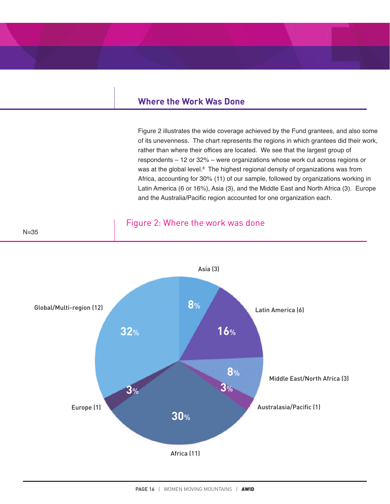#### **Where the Work Was Done**

Figure 2 illustrates the wide coverage achieved by the Fund grantees, and also some of its unevenness. The chart represents the regions in which grantees did their work, rather than where their offices are located. We see that the largest group of respondents – 12 or 32% – were organizations whose work cut across regions or was at the global level.<sup>8</sup> The highest regional density of organizations was from Africa, accounting for 30% (11) of our sample, followed by organizations working in Latin America (6 or 16%), Asia (3), and the Middle East and North Africa (3). Europe and the Australia/Pacific region accounted for one organization each.

#### Figure 2: Where the work was done

N=35



PAGE 16 | WOMEN MOVING MOUNTAINS | **AWID**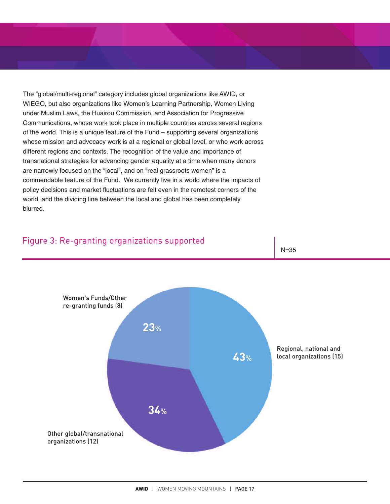The "global/multi-regional" category includes global organizations like AWID, or WIEGO, but also organizations like Women's Learning Partnership, Women Living under Muslim Laws, the Huairou Commission, and Association for Progressive Communications, whose work took place in multiple countries across several regions of the world. This is a unique feature of the Fund – supporting several organizations whose mission and advocacy work is at a regional or global level, or who work across different regions and contexts. The recognition of the value and importance of transnational strategies for advancing gender equality at a time when many donors are narrowly focused on the "local", and on "real grassroots women" is a commendable feature of the Fund. We currently live in a world where the impacts of policy decisions and market fluctuations are felt even in the remotest corners of the world, and the dividing line between the local and global has been completely blurred.

#### Figure 3: Re-granting organizations supported

N=35

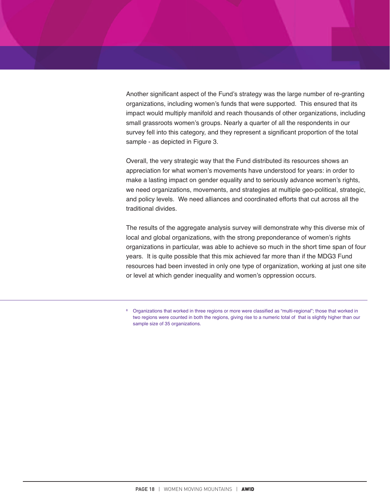Another significant aspect of the Fund's strategy was the large number of re-granting organizations, including women's funds that were supported. This ensured that its impact would multiply manifold and reach thousands of other organizations, including small grassroots women's groups. Nearly a quarter of all the respondents in our survey fell into this category, and they represent a significant proportion of the total sample - as depicted in Figure 3.

Overall, the very strategic way that the Fund distributed its resources shows an appreciation for what women's movements have understood for years: in order to make a lasting impact on gender equality and to seriously advance women's rights, we need organizations, movements, and strategies at multiple geo-political, strategic, and policy levels. We need alliances and coordinated efforts that cut across all the traditional divides.

The results of the aggregate analysis survey will demonstrate why this diverse mix of local and global organizations, with the strong preponderance of women's rights organizations in particular, was able to achieve so much in the short time span of four years. It is quite possible that this mix achieved far more than if the MDG3 Fund resources had been invested in only one type of organization, working at just one site or level at which gender inequality and women's oppression occurs.

<sup>8</sup> Organizations that worked in three regions or more were classified as "multi-regional"; those that worked in two regions were counted in both the regions, giving rise to a numeric total of that is slightly higher than our sample size of 35 organizations.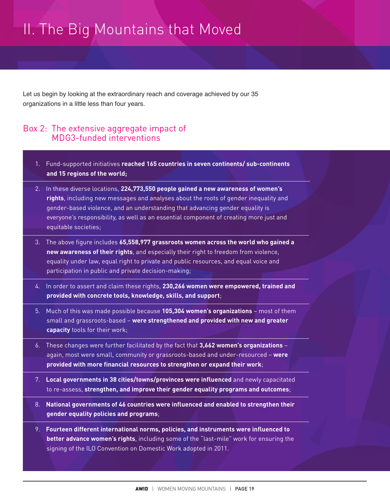## II. The Big Mountains that Moved

Let us begin by looking at the extraordinary reach and coverage achieved by our 35 organizations in a little less than four years.

#### Box 2: The extensive aggregate impact of MDG3-funded interventions

- 1. Fund-supported initiatives **reached 165 countries in seven continents/ sub-continents and 15 regions of the world;**
- 2. In these diverse locations, **224,773,550 people gained a new awareness of women's rights**, including new messages and analyses about the roots of gender inequality and gender-based violence, and an understanding that advancing gender equality is everyone's responsibility, as well as an essential component of creating more just and equitable societies;
- 3. The above figure includes **65,558,977 grassroots women across the world who gained a new awareness of their rights**, and especially their right to freedom from violence, equality under law, equal right to private and public resources, and equal voice and participation in public and private decision-making;
- 4. In order to assert and claim these rights, **230,266 women were empowered, trained and provided with concrete tools, knowledge, skills, and support**;
- 5. Much of this was made possible because **105,304 women's organizations** most of them small and grassroots-based – **were strengthened and provided with new and greater capacity** tools for their work;
- 6. These changes were further facilitated by the fact that **3,662 women's organizations** again, most were small, community or grassroots-based and under-resourced – **were provided with more financial resources to strengthen or expand their work**;
- 7. **Local governments in 38 cities/towns/provinces were influenced** and newly capacitated to re-assess, **strengthen, and improve their gender equality programs and outcomes**;
- 8. **National governments of 46 countries were influenced and enabled to strengthen their gender equality policies and programs**;
- 9. **Fourteen different international norms, policies, and instruments were influenced to better advance women's rights**, including some of the "last-mile" work for ensuring the signing of the ILO Convention on Domestic Work adopted in 2011.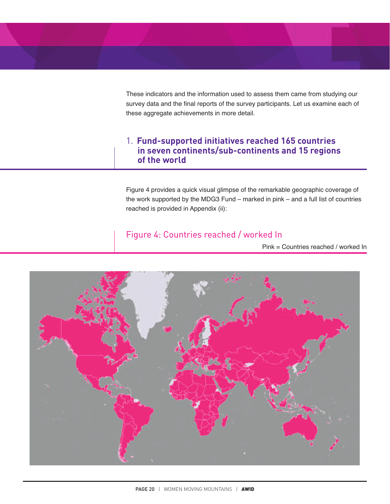These indicators and the information used to assess them came from studying our survey data and the final reports of the survey participants. Let us examine each of these aggregate achievements in more detail.

#### 1. **Fund-supported initiatives reached 165 countries in seven continents/sub-continents and 15 regions of the world**

Figure 4 provides a quick visual glimpse of the remarkable geographic coverage of the work supported by the MDG3 Fund – marked in pink – and a full list of countries reached is provided in Appendix (ii):

#### Figure 4: Countries reached / worked In

Pink = Countries reached / worked In

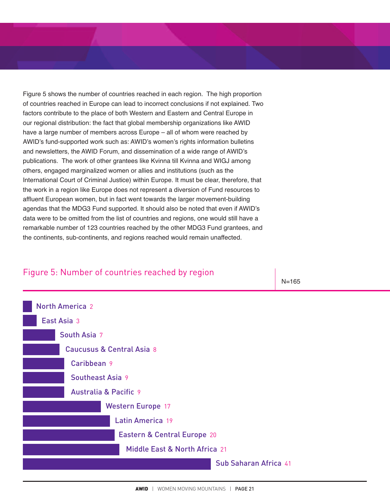Figure 5 shows the number of countries reached in each region. The high proportion of countries reached in Europe can lead to incorrect conclusions if not explained. Two factors contribute to the place of both Western and Eastern and Central Europe in our regional distribution: the fact that global membership organizations like AWID have a large number of members across Europe – all of whom were reached by AWID's fund-supported work such as: AWID's women's rights information bulletins and newsletters, the AWID Forum, and dissemination of a wide range of AWID's publications. The work of other grantees like Kvinna till Kvinna and WIGJ among others, engaged marginalized women or allies and institutions (such as the International Court of Criminal Justice) within Europe. It must be clear, therefore, that the work in a region like Europe does not represent a diversion of Fund resources to affluent European women, but in fact went towards the larger movement-building agendas that the MDG3 Fund supported. It should also be noted that even if AWID's data were to be omitted from the list of countries and regions, one would still have a remarkable number of 123 countries reached by the other MDG3 Fund grantees, and the continents, sub-continents, and regions reached would remain unaffected.

#### Figure 5: Number of countries reached by region

N=165

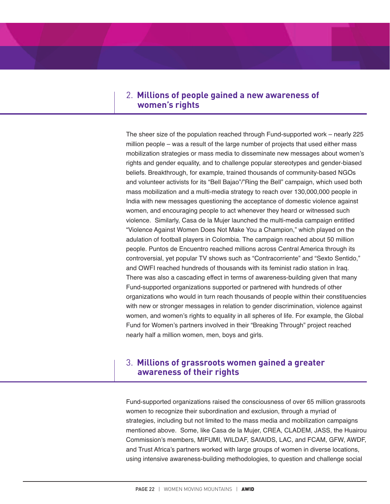#### 2. **Millions of people gained a new awareness of women's rights**

The sheer size of the population reached through Fund-supported work – nearly 225 million people – was a result of the large number of projects that used either mass mobilization strategies or mass media to disseminate new messages about women's rights and gender equality, and to challenge popular stereotypes and gender-biased beliefs. Breakthrough, for example, trained thousands of community-based NGOs and volunteer activists for its "Bell Bajao"/"Ring the Bell" campaign, which used both mass mobilization and a multi-media strategy to reach over 130,000,000 people in India with new messages questioning the acceptance of domestic violence against women, and encouraging people to act whenever they heard or witnessed such violence. Similarly, Casa de la Mujer launched the multi-media campaign entitled "Violence Against Women Does Not Make You a Champion," which played on the adulation of football players in Colombia. The campaign reached about 50 million people. Puntos de Encuentro reached millions across Central America through its controversial, yet popular TV shows such as "Contracorriente" and "Sexto Sentido," and OWFI reached hundreds of thousands with its feminist radio station in Iraq. There was also a cascading effect in terms of awareness-building given that many Fund-supported organizations supported or partnered with hundreds of other organizations who would in turn reach thousands of people within their constituencies with new or stronger messages in relation to gender discrimination, violence against women, and women's rights to equality in all spheres of life. For example, the Global Fund for Women's partners involved in their "Breaking Through" project reached nearly half a million women, men, boys and girls.

#### 3. **Millions of grassroots women gained a greater awareness of their rights**

Fund-supported organizations raised the consciousness of over 65 million grassroots women to recognize their subordination and exclusion, through a myriad of strategies, including but not limited to the mass media and mobilization campaigns mentioned above. Some, like Casa de la Mujer, CREA, CLADEM, JASS, the Huairou Commission's members, MIFUMI, WILDAF, SAfAIDS, LAC, and FCAM, GFW, AWDF, and Trust Africa's partners worked with large groups of women in diverse locations, using intensive awareness-building methodologies, to question and challenge social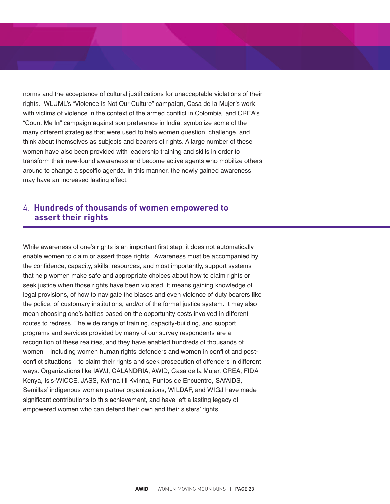norms and the acceptance of cultural justifications for unacceptable violations of their rights. WLUML's "Violence is Not Our Culture" campaign, Casa de la Mujer's work with victims of violence in the context of the armed conflict in Colombia, and CREA's "Count Me In" campaign against son preference in India, symbolize some of the many different strategies that were used to help women question, challenge, and think about themselves as subjects and bearers of rights. A large number of these women have also been provided with leadership training and skills in order to transform their new-found awareness and become active agents who mobilize others around to change a specific agenda. In this manner, the newly gained awareness may have an increased lasting effect.

#### 4. **Hundreds of thousands of women empowered to assert their rights**

While awareness of one's rights is an important first step, it does not automatically enable women to claim or assert those rights. Awareness must be accompanied by the confidence, capacity, skills, resources, and most importantly, support systems that help women make safe and appropriate choices about how to claim rights or seek justice when those rights have been violated. It means gaining knowledge of legal provisions, of how to navigate the biases and even violence of duty bearers like the police, of customary institutions, and/or of the formal justice system. It may also mean choosing one's battles based on the opportunity costs involved in different routes to redress. The wide range of training, capacity-building, and support programs and services provided by many of our survey respondents are a recognition of these realities, and they have enabled hundreds of thousands of women – including women human rights defenders and women in conflict and postconflict situations – to claim their rights and seek prosecution of offenders in different ways. Organizations like IAWJ, CALANDRIA, AWID, Casa de la Mujer, CREA, FIDA Kenya, Isis-WICCE, JASS, Kvinna till Kvinna, Puntos de Encuentro, SAfAIDS, Semillas' indigenous women partner organizations, WILDAF, and WIGJ have made significant contributions to this achievement, and have left a lasting legacy of empowered women who can defend their own and their sisters' rights.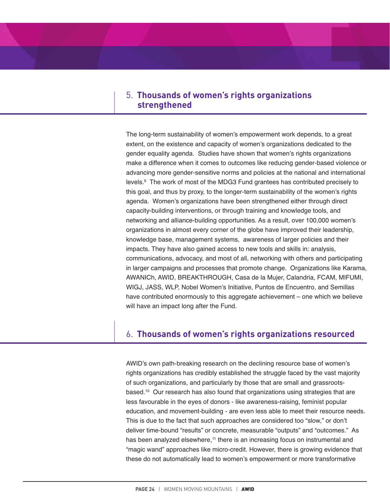#### 5. **Thousands of women's rights organizations strengthened**

The long-term sustainability of women's empowerment work depends, to a great extent, on the existence and capacity of women's organizations dedicated to the gender equality agenda. Studies have shown that women's rights organizations make a difference when it comes to outcomes like reducing gender-based violence or advancing more gender-sensitive norms and policies at the national and international levels. <sup>9</sup> The work of most of the MDG3 Fund grantees has contributed precisely to this goal, and thus by proxy, to the longer-term sustainability of the women's rights agenda. Women's organizations have been strengthened either through direct capacity-building interventions, or through training and knowledge tools, and networking and alliance-building opportunities. As a result, over 100,000 women's organizations in almost every corner of the globe have improved their leadership, knowledge base, management systems, awareness of larger policies and their impacts. They have also gained access to new tools and skills in: analysis, communications, advocacy, and most of all, networking with others and participating in larger campaigns and processes that promote change. Organizations like Karama, AWANICh, AWID, BREAKTHROUGH, Casa de la Mujer, Calandria, FCAM, MIFUMI, WIGJ, JASS, WLP, Nobel Women's Initiative, Puntos de Encuentro, and Semillas have contributed enormously to this aggregate achievement – one which we believe will have an impact long after the Fund.

#### 6. **Thousands of women's rights organizations resourced**

AWID's own path-breaking research on the declining resource base of women's rights organizations has credibly established the struggle faced by the vast majority of such organizations, and particularly by those that are small and grassrootsbased. <sup>10</sup> Our research has also found that organizations using strategies that are less favourable in the eyes of donors - like awareness-raising, feminist popular education, and movement-building - are even less able to meet their resource needs. This is due to the fact that such approaches are considered too "slow," or don't deliver time-bound "results" or concrete, measurable "outputs" and "outcomes." As has been analyzed elsewhere,<sup>11</sup> there is an increasing focus on instrumental and "magic wand" approaches like micro-credit. However, there is growing evidence that these do not automatically lead to women's empowerment or more transformative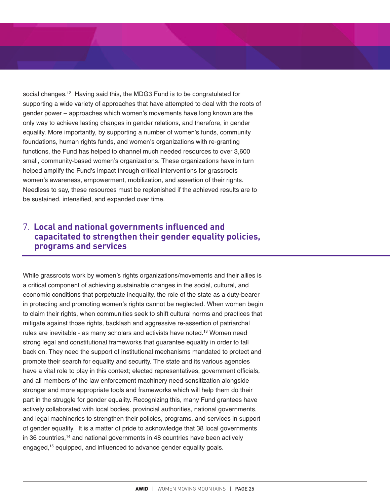social changes. <sup>12</sup> Having said this, the MDG3 Fund is to be congratulated for supporting a wide variety of approaches that have attempted to deal with the roots of gender power – approaches which women's movements have long known are the only way to achieve lasting changes in gender relations, and therefore, in gender equality. More importantly, by supporting a number of women's funds, community foundations, human rights funds, and women's organizations with re-granting functions, the Fund has helped to channel much needed resources to over 3,600 small, community-based women's organizations. These organizations have in turn helped amplify the Fund's impact through critical interventions for grassroots women's awareness, empowerment, mobilization, and assertion of their rights. Needless to say, these resources must be replenished if the achieved results are to be sustained, intensified, and expanded over time.

#### 7. **Local and national governments influenced and capacitated to strengthen their gender equality policies, programs and services**

While grassroots work by women's rights organizations/movements and their allies is a critical component of achieving sustainable changes in the social, cultural, and economic conditions that perpetuate inequality, the role of the state as a duty-bearer in protecting and promoting women's rights cannot be neglected. When women begin to claim their rights, when communities seek to shift cultural norms and practices that mitigate against those rights, backlash and aggressive re-assertion of patriarchal rules are inevitable - as many scholars and activists have noted. <sup>13</sup> Women need strong legal and constitutional frameworks that guarantee equality in order to fall back on. They need the support of institutional mechanisms mandated to protect and promote their search for equality and security. The state and its various agencies have a vital role to play in this context; elected representatives, government officials, and all members of the law enforcement machinery need sensitization alongside stronger and more appropriate tools and frameworks which will help them do their part in the struggle for gender equality. Recognizing this, many Fund grantees have actively collaborated with local bodies, provincial authorities, national governments, and legal machineries to strengthen their policies, programs, and services in support of gender equality. It is a matter of pride to acknowledge that 38 local governments in 36 countries, <sup>14</sup> and national governments in 48 countries have been actively engaged, <sup>15</sup> equipped, and influenced to advance gender equality goals.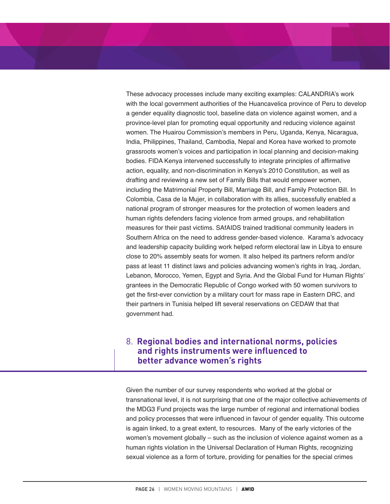These advocacy processes include many exciting examples: CALANDRIA's work with the local government authorities of the Huancavelica province of Peru to develop a gender equality diagnostic tool, baseline data on violence against women, and a province-level plan for promoting equal opportunity and reducing violence against women. The Huairou Commission's members in Peru, Uganda, Kenya, Nicaragua, India, Philippines, Thailand, Cambodia, Nepal and Korea have worked to promote grassroots women's voices and participation in local planning and decision-making bodies. FIDA Kenya intervened successfully to integrate principles of affirmative action, equality, and non-discrimination in Kenya's 2010 Constitution, as well as drafting and reviewing a new set of Family Bills that would empower women, including the Matrimonial Property Bill, Marriage Bill, and Family Protection Bill. In Colombia, Casa de la Mujer, in collaboration with its allies, successfully enabled a national program of stronger measures for the protection of women leaders and human rights defenders facing violence from armed groups, and rehabilitation measures for their past victims. SAfAIDS trained traditional community leaders in Southern Africa on the need to address gender-based violence. Karama's advocacy and leadership capacity building work helped reform electoral law in Libya to ensure close to 20% assembly seats for women. It also helped its partners reform and/or pass at least 11 distinct laws and policies advancing women's rights in Iraq, Jordan, Lebanon, Morocco, Yemen, Egypt and Syria. And the Global Fund for Human Rights' grantees in the Democratic Republic of Congo worked with 50 women survivors to get the first-ever conviction by a military court for mass rape in Eastern DRC, and their partners in Tunisia helped lift several reservations on CEDAW that that government had.

#### 8. **Regional bodies and international norms, policies and rights instruments were influenced to better advance women's rights**

Given the number of our survey respondents who worked at the global or transnational level, it is not surprising that one of the major collective achievements of the MDG3 Fund projects was the large number of regional and international bodies and policy processes that were influenced in favour of gender equality. This outcome is again linked, to a great extent, to resources. Many of the early victories of the women's movement globally – such as the inclusion of violence against women as a human rights violation in the Universal Declaration of Human Rights, recognizing sexual violence as a form of torture, providing for penalties for the special crimes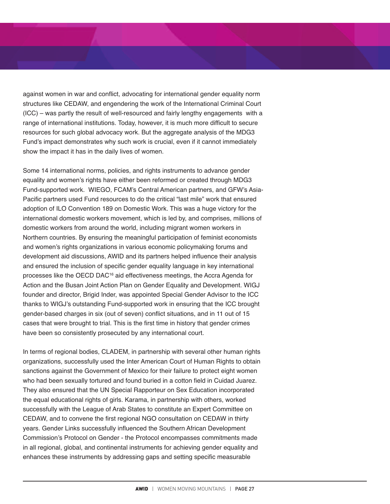against women in war and conflict, advocating for international gender equality norm structures like CEDAW, and engendering the work of the International Criminal Court (ICC) – was partly the result of well-resourced and fairly lengthy engagements with a range of international institutions. Today, however, it is much more difficult to secure resources for such global advocacy work. But the aggregate analysis of the MDG3 Fund's impact demonstrates why such work is crucial, even if it cannot immediately show the impact it has in the daily lives of women.

Some 14 international norms, policies, and rights instruments to advance gender equality and women's rights have either been reformed or created through MDG3 Fund-supported work. WIEGO, FCAM's Central American partners, and GFW's Asia-Pacific partners used Fund resources to do the critical "last mile" work that ensured adoption of ILO Convention 189 on Domestic Work. This was a huge victory for the international domestic workers movement, which is led by, and comprises, millions of domestic workers from around the world, including migrant women workers in Northern countries. By ensuring the meaningful participation of feminist economists and women's rights organizations in various economic policymaking forums and development aid discussions, AWID and its partners helped influence their analysis and ensured the inclusion of specific gender equality language in key international processes like the OECD DAC16 aid effectiveness meetings, the Accra Agenda for Action and the Busan Joint Action Plan on Gender Equality and Development. WIGJ founder and director, Brigid Inder, was appointed Special Gender Advisor to the ICC thanks to WIGJ's outstanding Fund-supported work in ensuring that the ICC brought gender-based charges in six (out of seven) conflict situations, and in 11 out of 15 cases that were brought to trial. This is the first time in history that gender crimes have been so consistently prosecuted by any international court.

In terms of regional bodies, CLADEM, in partnership with several other human rights organizations, successfully used the Inter American Court of Human Rights to obtain sanctions against the Government of Mexico for their failure to protect eight women who had been sexually tortured and found buried in a cotton field in Cuidad Juarez. They also ensured that the UN Special Rapporteur on Sex Education incorporated the equal educational rights of girls. Karama, in partnership with others, worked successfully with the League of Arab States to constitute an Expert Committee on CEDAW, and to convene the first regional NGO consultation on CEDAW in thirty years. Gender Links successfully influenced the Southern African Development Commission's Protocol on Gender - the Protocol encompasses commitments made in all regional, global, and continental instruments for achieving gender equality and enhances these instruments by addressing gaps and setting specific measurable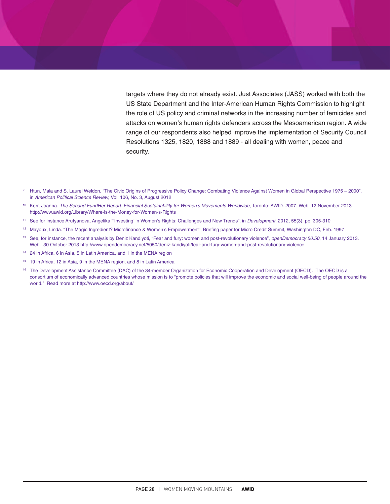targets where they do not already exist. Just Associates (JASS) worked with both the US State Department and the Inter-American Human Rights Commission to highlight the role of US policy and criminal networks in the increasing number of femicides and attacks on women's human rights defenders across the Mesoamerican region. A wide range of our respondents also helped improve the implementation of Security Council Resolutions 1325, 1820, 1888 and 1889 - all dealing with women, peace and security.

- <sup>9</sup> Htun, Mala and S. Laurel Weldon, "The Civic Origins of Progressive Policy Change: Combating Violence Against Women in Global Perspective 1975 2000", in *American Political Science Review*, Vol. 106, No. 3, August 2012
- <sup>10</sup> Kerr, Joanna. *The Second FundHer Report: Financial Sustainability for Women's Movements Worldwide*, Toronto: AWID. 2007. Web. 12 November 2013 http://www.awid.org/Library/Where-is-the-Money-for-Women-s-Rights
- <sup>11</sup> See for instance Arutyanova, Angelika "'Investing' in Women's Rights: Challenges and New Trends", in *Development*, 2012, 55(3), pp. 305-310
- <sup>12</sup> Mayoux, Linda. "The Magic Ingredient? Microfinance & Women's Empowerment", Briefing paper for Micro Credit Summit, Washington DC, Feb. 1997
- <sup>13</sup> See, for instance, the recent analysis by Deniz Kandiyoti, "Fear and fury: women and post-revolutionary violence", *openDemocracy 50:50*, 14 January 2013. Web. 30 October 2013 http://www.opendemocracy.net/5050/deniz-kandiyoti/fear-and-fury-women-and-post-revolutionary-violence
- <sup>14</sup> 24 in Africa, 6 in Asia, 5 in Latin America, and 1 in the MENA region
- <sup>15</sup> 19 in Africa, 12 in Asia, 9 in the MENA region, and 8 in Latin America
- <sup>16</sup> The Development Assistance Committee (DAC) of the 34-member Organization for Economic Cooperation and Development (OECD). The OECD is a consortium of economically advanced countries whose mission is to "promote policies that will improve the economic and social well-being of people around the world." Read more at http://www.oecd.org/about/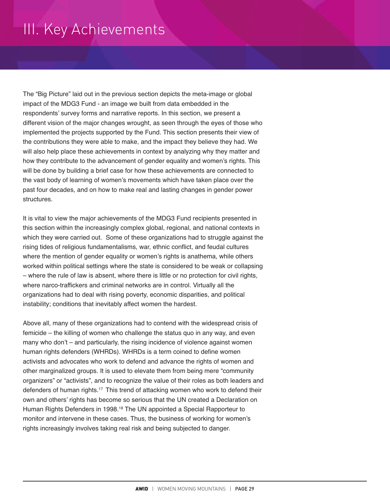## III. Key Achievements

The "Big Picture" laid out in the previous section depicts the meta-image or global impact of the MDG3 Fund - an image we built from data embedded in the respondents' survey forms and narrative reports. In this section, we present a different vision of the major changes wrought, as seen through the eyes of those who implemented the projects supported by the Fund. This section presents their view of the contributions they were able to make, and the impact they believe they had. We will also help place these achievements in context by analyzing why they matter and how they contribute to the advancement of gender equality and women's rights. This will be done by building a brief case for how these achievements are connected to the vast body of learning of women's movements which have taken place over the past four decades, and on how to make real and lasting changes in gender power structures.

It is vital to view the major achievements of the MDG3 Fund recipients presented in this section within the increasingly complex global, regional, and national contexts in which they were carried out. Some of these organizations had to struggle against the rising tides of religious fundamentalisms, war, ethnic conflict, and feudal cultures where the mention of gender equality or women's rights is anathema, while others worked within political settings where the state is considered to be weak or collapsing – where the rule of law is absent, where there is little or no protection for civil rights, where narco-traffickers and criminal networks are in control. Virtually all the organizations had to deal with rising poverty, economic disparities, and political instability; conditions that inevitably affect women the hardest.

Above all, many of these organizations had to contend with the widespread crisis of femicide – the killing of women who challenge the status quo in any way, and even many who don't – and particularly, the rising incidence of violence against women human rights defenders (WHRDs). WHRDs is a term coined to define women activists and advocates who work to defend and advance the rights of women and other marginalized groups. It is used to elevate them from being mere "community organizers" or "activists", and to recognize the value of their roles as both leaders and defenders of human rights. <sup>17</sup> This trend of attacking women who work to defend their own and others' rights has become so serious that the UN created a Declaration on Human Rights Defenders in 1998.<sup>18</sup> The UN appointed a Special Rapporteur to monitor and intervene in these cases. Thus, the business of working for women's rights increasingly involves taking real risk and being subjected to danger.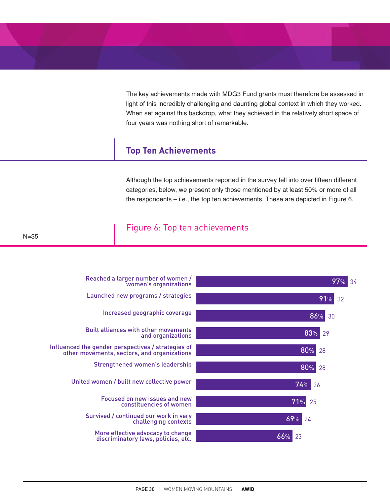The key achievements made with MDG3 Fund grants must therefore be assessed in light of this incredibly challenging and daunting global context in which they worked. When set against this backdrop, what they achieved in the relatively short space of four years was nothing short of remarkable.

#### **Top Ten Achievements**

Although the top achievements reported in the survey fell into over fifteen different categories, below, we present only those mentioned by at least 50% or more of all the respondents – i.e., the top ten achievements. These are depicted in Figure 6.

#### Figure 6: Top ten achievements



#### N=35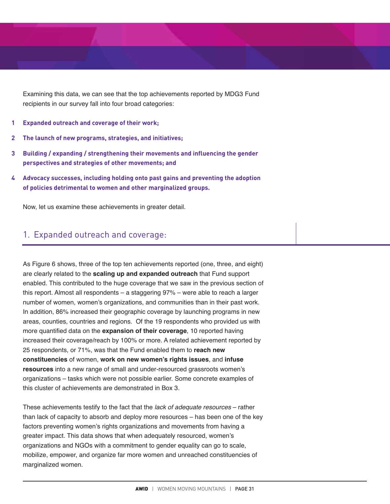Examining this data, we can see that the top achievements reported by MDG3 Fund recipients in our survey fall into four broad categories:

- **1 Expanded outreach and coverage of their work;**
- **2 The launch of new programs, strategies, and initiatives;**
- **3 Building / expanding / strengthening their movements and influencing the gender perspectives and strategies of other movements; and**
- **4 Advocacy successes, including holding onto past gains and preventing the adoption of policies detrimental to women and other marginalized groups.**

Now, let us examine these achievements in greater detail.

#### 1. Expanded outreach and coverage:

As Figure 6 shows, three of the top ten achievements reported (one, three, and eight) are clearly related to the **scaling up and expanded outreach** that Fund support enabled. This contributed to the huge coverage that we saw in the previous section of this report. Almost all respondents – a staggering 97% – were able to reach a larger number of women, women's organizations, and communities than in their past work. In addition, 86% increased their geographic coverage by launching programs in new areas, counties, countries and regions. Of the 19 respondents who provided us with more quantified data on the **expansion of their coverage**, 10 reported having increased their coverage/reach by 100% or more. A related achievement reported by 25 respondents, or 71%, was that the Fund enabled them to **reach new constituencies** of women, **work on new women's rights issues**, and **infuse resources** into a new range of small and under-resourced grassroots women's organizations – tasks which were not possible earlier. Some concrete examples of this cluster of achievements are demonstrated in Box 3.

These achievements testify to the fact that the *lack of adequate resources* – rather than lack of capacity to absorb and deploy more resources – has been one of the key factors preventing women's rights organizations and movements from having a greater impact. This data shows that when adequately resourced, women's organizations and NGOs with a commitment to gender equality can go to scale, mobilize, empower, and organize far more women and unreached constituencies of marginalized women.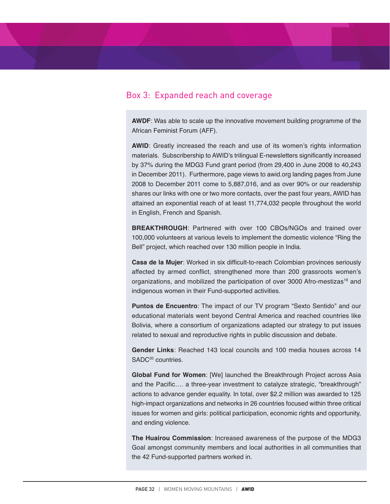#### Box 3: Expanded reach and coverage

**AWDF**: Was able to scale up the innovative movement building programme of the African Feminist Forum (AFF).

**AWID**: Greatly increased the reach and use of its women's rights information materials. Subscribership to AWID's trilingual E-newsletters significantly increased by 37% during the MDG3 Fund grant period (from 29,400 in June 2008 to 40,243 in December 2011). Furthermore, page views to awid.org landing pages from June 2008 to December 2011 come to 5,887,016, and as over 90% or our readership shares our links with one or two more contacts, over the past four years, AWID has attained an exponential reach of at least 11,774,032 people throughout the world in English, French and Spanish.

**BREAKTHROUGH**: Partnered with over 100 CBOs/NGOs and trained over 100,000 volunteers at various levels to implement the domestic violence "Ring the Bell" project, which reached over 130 million people in India.

**Casa de la Mujer**: Worked in six difficult-to-reach Colombian provinces seriously affected by armed conflict, strengthened more than 200 grassroots women's organizations, and mobilized the participation of over 3000 Afro-mestizas<sup>19</sup> and indigenous women in their Fund-supported activities.

**Puntos de Encuentro**: The impact of our TV program "Sexto Sentido" and our educational materials went beyond Central America and reached countries like Bolivia, where a consortium of organizations adapted our strategy to put issues related to sexual and reproductive rights in public discussion and debate.

**Gender Links**: Reached 143 local councils and 100 media houses across 14 SADC<sup>20</sup> countries.

**Global Fund for Women**: [We] launched the Breakthrough Project across Asia and the Pacific…. a three-year investment to catalyze strategic, "breakthrough" actions to advance gender equality. In total, over \$2.2 million was awarded to 125 high-impact organizations and networks in 26 countries focused within three critical issues for women and girls: political participation, economic rights and opportunity, and ending violence.

**The Huairou Commission**: Increased awareness of the purpose of the MDG3 Goal amongst community members and local authorities in all communities that the 42 Fund-supported partners worked in.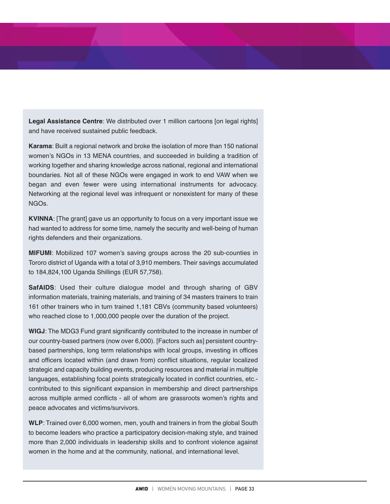**Legal Assistance Centre**: We distributed over 1 million cartoons [on legal rights] and have received sustained public feedback.

**Karama**: Built a regional network and broke the isolation of more than 150 national women's NGOs in 13 MENA countries, and succeeded in building a tradition of working together and sharing knowledge across national, regional and international boundaries. Not all of these NGOs were engaged in work to end VAW when we began and even fewer were using international instruments for advocacy. Networking at the regional level was infrequent or nonexistent for many of these NGOs.

**KVINNA**: [The grant] gave us an opportunity to focus on a very important issue we had wanted to address for some time, namely the security and well-being of human rights defenders and their organizations.

**MIFUMI**: Mobilized 107 women's saving groups across the 20 sub-counties in Tororo district of Uganda with a total of 3,910 members. Their savings accumulated to 184,824,100 Uganda Shillings (EUR 57,758).

**SafAIDS**: Used their culture dialogue model and through sharing of GBV information materials, training materials, and training of 34 masters trainers to train 161 other trainers who in turn trained 1,181 CBVs (community based volunteers) who reached close to 1,000,000 people over the duration of the project.

**WIGJ**: The MDG3 Fund grant significantly contributed to the increase in number of our country-based partners (now over 6,000). [Factors such as] persistent countrybased partnerships, long term relationships with local groups, investing in offices and officers located within (and drawn from) conflict situations, regular localized strategic and capacity building events, producing resources and material in multiple languages, establishing focal points strategically located in conflict countries, etc. contributed to this significant expansion in membership and direct partnerships across multiple armed conflicts - all of whom are grassroots women's rights and peace advocates and victims/survivors.

**WLP**: Trained over 6,000 women, men, youth and trainers in from the global South to become leaders who practice a participatory decision-making style, and trained more than 2,000 individuals in leadership skills and to confront violence against women in the home and at the community, national, and international level.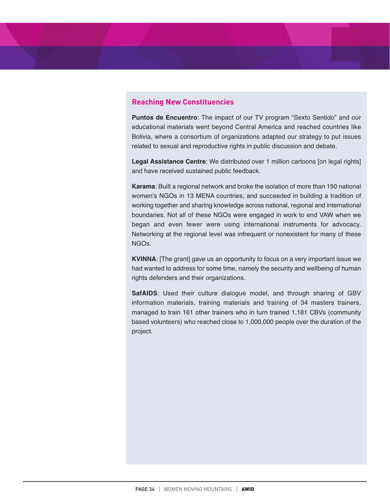#### **Reaching New Constituencies**

**Puntos de Encuentro**: The impact of our TV program "Sexto Sentido" and our educational materials went beyond Central America and reached countries like Bolivia, where a consortium of organizations adapted our strategy to put issues related to sexual and reproductive rights in public discussion and debate.

**Legal Assistance Centre**: We distributed over 1 million cartoons [on legal rights] and have received sustained public feedback.

**Karama**: Built a regional network and broke the isolation of more than 150 national women's NGOs in 13 MENA countries, and succeeded in building a tradition of working together and sharing knowledge across national, regional and international boundaries. Not all of these NGOs were engaged in work to end VAW when we began and even fewer were using international instruments for advocacy. Networking at the regional level was infrequent or nonexistent for many of these NGOs.

**KVINNA**: [The grant] gave us an opportunity to focus on a very important issue we had wanted to address for some time, namely the security and wellbeing of human rights defenders and their organizations.

**SafAIDS**: Used their culture dialogue model, and through sharing of GBV information materials, training materials and training of 34 masters trainers, managed to train 161 other trainers who in turn trained 1,181 CBVs (community based volunteers) who reached close to 1,000,000 people over the duration of the project.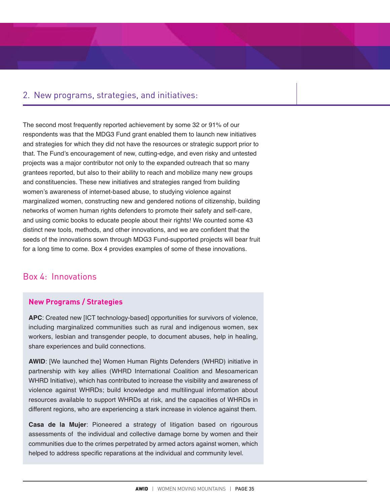#### 2. New programs, strategies, and initiatives:

The second most frequently reported achievement by some 32 or 91% of our respondents was that the MDG3 Fund grant enabled them to launch new initiatives and strategies for which they did not have the resources or strategic support prior to that. The Fund's encouragement of new, cutting-edge, and even risky and untested projects was a major contributor not only to the expanded outreach that so many grantees reported, but also to their ability to reach and mobilize many new groups and constituencies. These new initiatives and strategies ranged from building women's awareness of internet-based abuse, to studying violence against marginalized women, constructing new and gendered notions of citizenship, building networks of women human rights defenders to promote their safety and self-care, and using comic books to educate people about their rights! We counted some 43 distinct new tools, methods, and other innovations, and we are confident that the seeds of the innovations sown through MDG3 Fund-supported projects will bear fruit for a long time to come. Box 4 provides examples of some of these innovations.

#### Box 4: Innovations

#### **New Programs / Strategies**

**APC**: Created new [ICT technology-based] opportunities for survivors of violence, including marginalized communities such as rural and indigenous women, sex workers, lesbian and transgender people, to document abuses, help in healing, share experiences and build connections.

**AWID**: [We launched the] Women Human Rights Defenders (WHRD) initiative in partnership with key allies (WHRD International Coalition and Mesoamerican WHRD Initiative), which has contributed to increase the visibility and awareness of violence against WHRDs; build knowledge and multilingual information about resources available to support WHRDs at risk, and the capacities of WHRDs in different regions, who are experiencing a stark increase in violence against them.

**Casa de la Mujer**: Pioneered a strategy of litigation based on rigourous assessments of the individual and collective damage borne by women and their communities due to the crimes perpetrated by armed actors against women, which helped to address specific reparations at the individual and community level.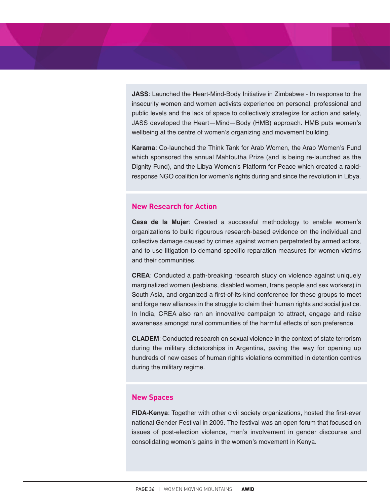**JASS**: Launched the Heart-Mind-Body Initiative in Zimbabwe - In response to the insecurity women and women activists experience on personal, professional and public levels and the lack of space to collectively strategize for action and safety, JASS developed the Heart—Mind—Body (HMB) approach. HMB puts women's wellbeing at the centre of women's organizing and movement building.

**Karama**: Co-launched the Think Tank for Arab Women, the Arab Women's Fund which sponsored the annual Mahfoutha Prize (and is being re-launched as the Dignity Fund), and the Libya Women's Platform for Peace which created a rapidresponse NGO coalition for women's rights during and since the revolution in Libya.

#### **New Research for Action**

**Casa de la Mujer**: Created a successful methodology to enable women's organizations to build rigourous research-based evidence on the individual and collective damage caused by crimes against women perpetrated by armed actors, and to use litigation to demand specific reparation measures for women victims and their communities.

**CREA**: Conducted a path-breaking research study on violence against uniquely marginalized women (lesbians, disabled women, trans people and sex workers) in South Asia, and organized a first-of-its-kind conference for these groups to meet and forge new alliances in the struggle to claim their human rights and social justice. In India, CREA also ran an innovative campaign to attract, engage and raise awareness amongst rural communities of the harmful effects of son preference.

**CLADEM**: Conducted research on sexual violence in the context of state terrorism during the military dictatorships in Argentina, paving the way for opening up hundreds of new cases of human rights violations committed in detention centres during the military regime.

#### **New Spaces**

**FIDA-Kenya**: Together with other civil society organizations, hosted the first-ever national Gender Festival in 2009. The festival was an open forum that focused on issues of post-election violence, men's involvement in gender discourse and consolidating women's gains in the women's movement in Kenya.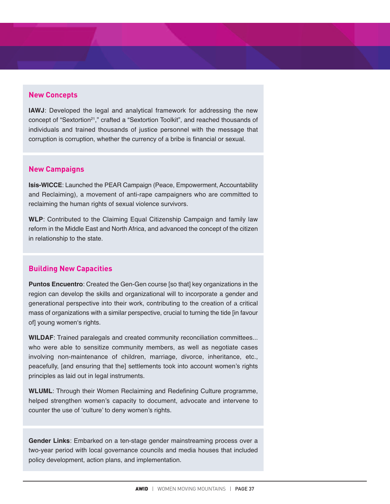#### **New Concepts**

**IAWJ**: Developed the legal and analytical framework for addressing the new concept of "Sextortion21," crafted a "Sextortion Toolkit", and reached thousands of individuals and trained thousands of justice personnel with the message that corruption is corruption, whether the currency of a bribe is financial or sexual.

#### **New Campaigns**

**Isis-WICCE**: Launched the PEAR Campaign (Peace, Empowerment, Accountability and Reclaiming), a movement of anti-rape campaigners who are committed to reclaiming the human rights of sexual violence survivors.

**WLP**: Contributed to the Claiming Equal Citizenship Campaign and family law reform in the Middle East and North Africa, and advanced the concept of the citizen in relationship to the state.

#### **Building New Capacities**

**Puntos Encuentro**: Created the Gen-Gen course [so that] key organizations in the region can develop the skills and organizational will to incorporate a gender and generational perspective into their work, contributing to the creation of a critical mass of organizations with a similar perspective, crucial to turning the tide [in favour of] young women's rights.

**WILDAF**: Trained paralegals and created community reconciliation committees... who were able to sensitize community members, as well as negotiate cases involving non-maintenance of children, marriage, divorce, inheritance, etc., peacefully, [and ensuring that the] settlements took into account women's rights principles as laid out in legal instruments.

**WLUML**: Through their Women Reclaiming and Redefining Culture programme, helped strengthen women's capacity to document, advocate and intervene to counter the use of 'culture' to deny women's rights.

**Gender Links**: Embarked on a ten-stage gender mainstreaming process over a two-year period with local governance councils and media houses that included policy development, action plans, and implementation.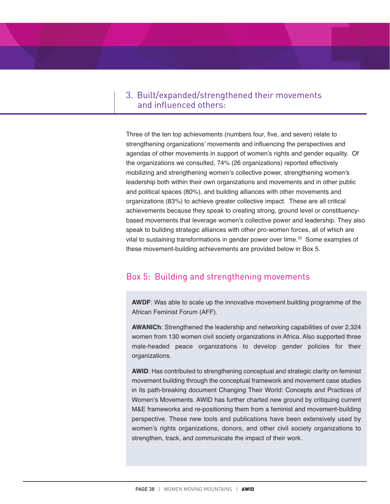## 3. Built/expanded/strengthened their movements and influenced others:

Three of the ten top achievements (numbers four, five, and seven) relate to strengthening organizations' movements and influencing the perspectives and agendas of other movements in support of women's rights and gender equality. Of the organizations we consulted, 74% (26 organizations) reported effectively mobilizing and strengthening women's collective power, strengthening women's leadership both within their own organizations and movements and in other public and political spaces (80%), and building alliances with other movements and organizations (83%) to achieve greater collective impact. These are all critical achievements because they speak to creating strong, ground level or constituencybased movements that leverage women's collective power and leadership. They also speak to building strategic alliances with other pro-women forces, all of which are vital to sustaining transformations in gender power over time. <sup>22</sup> Some examples of these movement-building achievements are provided below in Box 5.

## Box 5: Building and strengthening movements

**AWDF**: Was able to scale up the innovative movement building programme of the African Feminist Forum (AFF).

**AWANICh**: Strengthened the leadership and networking capabilities of over 2,324 women from 130 women civil society organizations in Africa. Also supported three male-headed peace organizations to develop gender policies for their organizations.

**AWID**: Has contributed to strengthening conceptual and strategic clarity on feminist movement building through the conceptual framework and movement case studies in its path-breaking document Changing Their World: Concepts and Practices of Women's Movements. AWID has further charted new ground by critiquing current M&E frameworks and re-positioning them from a feminist and movement-building perspective. These new tools and publications have been extensively used by women's rights organizations, donors, and other civil society organizations to strengthen, track, and communicate the impact of their work.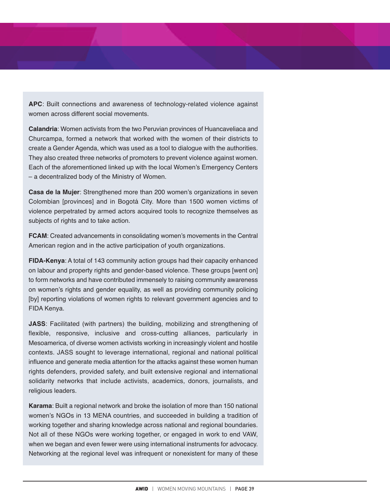**APC**: Built connections and awareness of technology-related violence against women across different social movements.

**Calandria**: Women activists from the two Peruvian provinces of Huancaveliaca and Churcampa, formed a network that worked with the women of their districts to create a Gender Agenda, which was used as a tool to dialogue with the authorities. They also created three networks of promoters to prevent violence against women. Each of the aforementioned linked up with the local Women's Emergency Centers – a decentralized body of the Ministry of Women.

**Casa de la Mujer**: Strengthened more than 200 women's organizations in seven Colombian [provinces] and in Bogotá City. More than 1500 women victims of violence perpetrated by armed actors acquired tools to recognize themselves as subjects of rights and to take action.

**FCAM**: Created advancements in consolidating women's movements in the Central American region and in the active participation of youth organizations.

**FIDA-Kenya**: A total of 143 community action groups had their capacity enhanced on labour and property rights and gender-based violence. These groups [went on] to form networks and have contributed immensely to raising community awareness on women's rights and gender equality, as well as providing community policing [by] reporting violations of women rights to relevant government agencies and to FIDA Kenya.

**JASS**: Facilitated (with partners) the building, mobilizing and strengthening of flexible, responsive, inclusive and cross-cutting alliances, particularly in Mesoamerica, of diverse women activists working in increasingly violent and hostile contexts. JASS sought to leverage international, regional and national political influence and generate media attention for the attacks against these women human rights defenders, provided safety, and built extensive regional and international solidarity networks that include activists, academics, donors, journalists, and religious leaders.

**Karama**: Built a regional network and broke the isolation of more than 150 national women's NGOs in 13 MENA countries, and succeeded in building a tradition of working together and sharing knowledge across national and regional boundaries. Not all of these NGOs were working together, or engaged in work to end VAW, when we began and even fewer were using international instruments for advocacy. Networking at the regional level was infrequent or nonexistent for many of these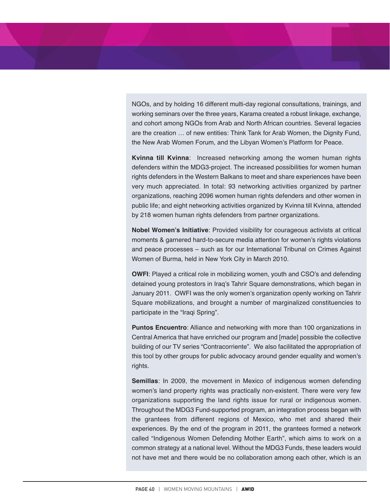NGOs, and by holding 16 different multi-day regional consultations, trainings, and working seminars over the three years, Karama created a robust linkage, exchange, and cohort among NGOs from Arab and North African countries. Several legacies are the creation … of new entities: Think Tank for Arab Women, the Dignity Fund, the New Arab Women Forum, and the Libyan Women's Platform for Peace.

**Kvinna till Kvinna**: Increased networking among the women human rights defenders within the MDG3-project. The increased possibilities for women human rights defenders in the Western Balkans to meet and share experiences have been very much appreciated. In total: 93 networking activities organized by partner organizations, reaching 2096 women human rights defenders and other women in public life; and eight networking activities organized by Kvinna till Kvinna, attended by 218 women human rights defenders from partner organizations.

**Nobel Women's Initiative**: Provided visibility for courageous activists at critical moments & garnered hard-to-secure media attention for women's rights violations and peace processes – such as for our International Tribunal on Crimes Against Women of Burma, held in New York City in March 2010.

**OWFI**: Played a critical role in mobilizing women, youth and CSO's and defending detained young protestors in Iraq's Tahrir Square demonstrations, which began in January 2011. OWFI was the only women's organization openly working on Tahrir Square mobilizations, and brought a number of marginalized constituencies to participate in the "Iraqi Spring".

**Puntos Encuentro**: Alliance and networking with more than 100 organizations in Central America that have enriched our program and [made] possible the collective building of our TV series "Contracorriente". We also facilitated the appropriation of this tool by other groups for public advocacy around gender equality and women's rights.

**Semillas**: In 2009, the movement in Mexico of indigenous women defending women's land property rights was practically non-existent. There were very few organizations supporting the land rights issue for rural or indigenous women. Throughout the MDG3 Fund-supported program, an integration process began with the grantees from different regions of Mexico, who met and shared their experiences. By the end of the program in 2011, the grantees formed a network called "Indigenous Women Defending Mother Earth", which aims to work on a common strategy at a national level. Without the MDG3 Funds, these leaders would not have met and there would be no collaboration among each other, which is an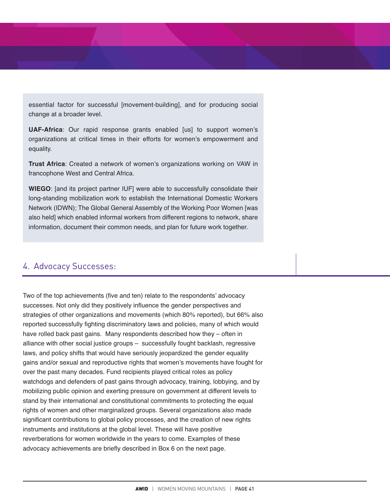essential factor for successful [movement-building], and for producing social change at a broader level.

**UAF-Africa**: Our rapid response grants enabled [us] to support women's organizations at critical times in their efforts for women's empowerment and equality.

**Trust Africa**: Created a network of women's organizations working on VAW in francophone West and Central Africa.

**WIEGO**: [and its project partner IUF] were able to successfully consolidate their long-standing mobilization work to establish the International Domestic Workers Network (IDWN); The Global General Assembly of the Working Poor Women [was also held] which enabled informal workers from different regions to network, share information, document their common needs, and plan for future work together.

## 4. Advocacy Successes:

Two of the top achievements (five and ten) relate to the respondents' advocacy successes. Not only did they positively influence the gender perspectives and strategies of other organizations and movements (which 80% reported), but 66% also reported successfully fighting discriminatory laws and policies, many of which would have rolled back past gains. Many respondents described how they – often in alliance with other social justice groups – successfully fought backlash, regressive laws, and policy shifts that would have seriously jeopardized the gender equality gains and/or sexual and reproductive rights that women's movements have fought for over the past many decades. Fund recipients played critical roles as policy watchdogs and defenders of past gains through advocacy, training, lobbying, and by mobilizing public opinion and exerting pressure on government at different levels to stand by their international and constitutional commitments to protecting the equal rights of women and other marginalized groups. Several organizations also made significant contributions to global policy processes, and the creation of new rights instruments and institutions at the global level. These will have positive reverberations for women worldwide in the years to come. Examples of these advocacy achievements are briefly described in Box 6 on the next page.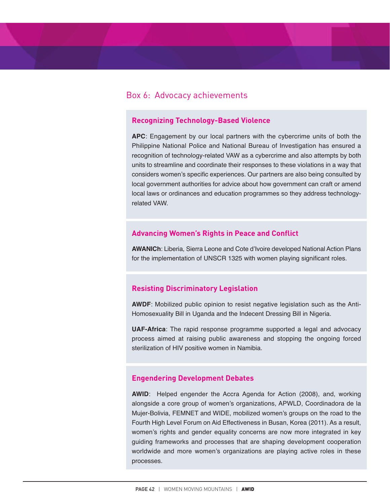## Box 6: Advocacy achievements

#### **Recognizing Technology-Based Violence**

**APC**: Engagement by our local partners with the cybercrime units of both the Philippine National Police and National Bureau of Investigation has ensured a recognition of technology-related VAW as a cybercrime and also attempts by both units to streamline and coordinate their responses to these violations in a way that considers women's specific experiences. Our partners are also being consulted by local government authorities for advice about how government can craft or amend local laws or ordinances and education programmes so they address technologyrelated VAW.

#### **Advancing Women's Rights in Peace and Conflict**

**AWANICh**: Liberia, Sierra Leone and Cote d'Ivoire developed National Action Plans for the implementation of UNSCR 1325 with women playing significant roles.

#### **Resisting Discriminatory Legislation**

**AWDF**: Mobilized public opinion to resist negative legislation such as the Anti-Homosexuality Bill in Uganda and the Indecent Dressing Bill in Nigeria.

**UAF-Africa**: The rapid response programme supported a legal and advocacy process aimed at raising public awareness and stopping the ongoing forced sterilization of HIV positive women in Namibia.

#### **Engendering Development Debates**

**AWID**: Helped engender the Accra Agenda for Action (2008), and, working alongside a core group of women's organizations, APWLD, Coordinadora de la Mujer-Bolivia, FEMNET and WIDE, mobilized women's groups on the road to the Fourth High Level Forum on Aid Effectiveness in Busan, Korea (2011). As a result, women's rights and gender equality concerns are now more integrated in key guiding frameworks and processes that are shaping development cooperation worldwide and more women's organizations are playing active roles in these processes.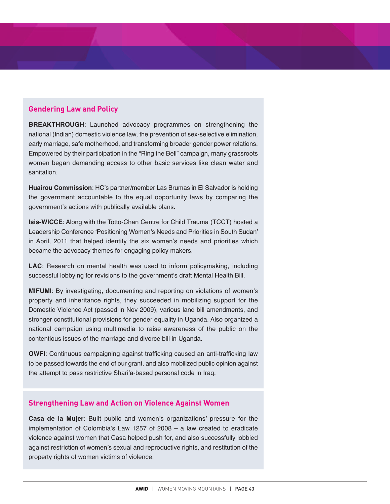#### **Gendering Law and Policy**

**BREAKTHROUGH**: Launched advocacy programmes on strengthening the national (Indian) domestic violence law, the prevention of sex-selective elimination, early marriage, safe motherhood, and transforming broader gender power relations. Empowered by their participation in the "Ring the Bell" campaign, many grassroots women began demanding access to other basic services like clean water and sanitation.

**Huairou Commission**: HC's partner/member Las Brumas in El Salvador is holding the government accountable to the equal opportunity laws by comparing the government's actions with publically available plans.

**Isis-WICCE**: Along with the Totto-Chan Centre for Child Trauma (TCCT) hosted a Leadership Conference 'Positioning Women's Needs and Priorities in South Sudan' in April, 2011 that helped identify the six women's needs and priorities which became the advocacy themes for engaging policy makers.

**LAC**: Research on mental health was used to inform policymaking, including successful lobbying for revisions to the government's draft Mental Health Bill.

**MIFUMI**: By investigating, documenting and reporting on violations of women's property and inheritance rights, they succeeded in mobilizing support for the Domestic Violence Act (passed in Nov 2009), various land bill amendments, and stronger constitutional provisions for gender equality in Uganda. Also organized a national campaign using multimedia to raise awareness of the public on the contentious issues of the marriage and divorce bill in Uganda.

**OWFI**: Continuous campaigning against trafficking caused an anti-trafficking law to be passed towards the end of our grant, and also mobilized public opinion against the attempt to pass restrictive Shari'a-based personal code in Iraq.

#### **Strengthening Law and Action on Violence Against Women**

**Casa de la Mujer**: Built public and women's organizations' pressure for the implementation of Colombia's Law 1257 of 2008 – a law created to eradicate violence against women that Casa helped push for, and also successfully lobbied against restriction of women's sexual and reproductive rights, and restitution of the property rights of women victims of violence.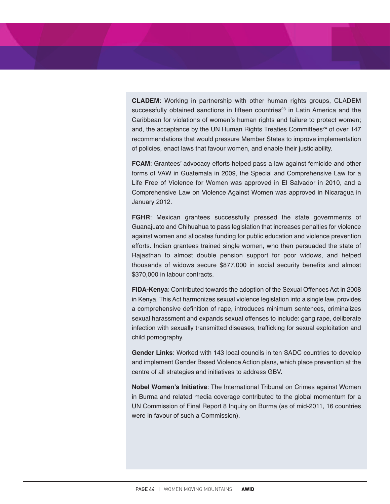**CLADEM**: Working in partnership with other human rights groups, CLADEM successfully obtained sanctions in fifteen countries<sup>23</sup> in Latin America and the Caribbean for violations of women's human rights and failure to protect women; and, the acceptance by the UN Human Rights Treaties Committees<sup>24</sup> of over 147 recommendations that would pressure Member States to improve implementation of policies, enact laws that favour women, and enable their justiciability.

**FCAM**: Grantees' advocacy efforts helped pass a law against femicide and other forms of VAW in Guatemala in 2009, the Special and Comprehensive Law for a Life Free of Violence for Women was approved in El Salvador in 2010, and a Comprehensive Law on Violence Against Women was approved in Nicaragua in January 2012.

**FGHR**: Mexican grantees successfully pressed the state governments of Guanajuato and Chihuahua to pass legislation that increases penalties for violence against women and allocates funding for public education and violence prevention efforts. Indian grantees trained single women, who then persuaded the state of Rajasthan to almost double pension support for poor widows, and helped thousands of widows secure \$877,000 in social security benefits and almost \$370,000 in labour contracts.

**FIDA-Kenya**: Contributed towards the adoption of the Sexual Offences Act in 2008 in Kenya. This Act harmonizes sexual violence legislation into a single law, provides a comprehensive definition of rape, introduces minimum sentences, criminalizes sexual harassment and expands sexual offenses to include: gang rape, deliberate infection with sexually transmitted diseases, trafficking for sexual exploitation and child pornography.

**Gender Links**: Worked with 143 local councils in ten SADC countries to develop and implement Gender Based Violence Action plans, which place prevention at the centre of all strategies and initiatives to address GBV.

**Nobel Women's Initiative**: The International Tribunal on Crimes against Women in Burma and related media coverage contributed to the global momentum for a UN Commission of Final Report 8 Inquiry on Burma (as of mid-2011, 16 countries were in favour of such a Commission).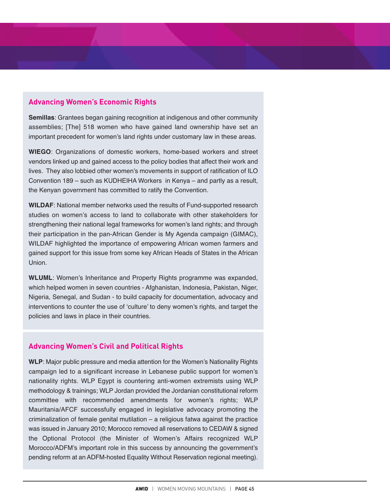#### **Advancing Women's Economic Rights**

**Semillas**: Grantees began gaining recognition at indigenous and other community assemblies; [The] 518 women who have gained land ownership have set an important precedent for women's land rights under customary law in these areas.

**WIEGO**: Organizations of domestic workers, home-based workers and street vendors linked up and gained access to the policy bodies that affect their work and lives. They also lobbied other women's movements in support of ratification of ILO Convention 189 – such as KUDHEIHA Workers in Kenya – and partly as a result, the Kenyan government has committed to ratify the Convention.

**WILDAF**: National member networks used the results of Fund-supported research studies on women's access to land to collaborate with other stakeholders for strengthening their national legal frameworks for women's land rights; and through their participation in the pan-African Gender is My Agenda campaign (GIMAC), WILDAF highlighted the importance of empowering African women farmers and gained support for this issue from some key African Heads of States in the African Union.

**WLUML**: Women's Inheritance and Property Rights programme was expanded, which helped women in seven countries - Afghanistan, Indonesia, Pakistan, Niger, Nigeria, Senegal, and Sudan - to build capacity for documentation, advocacy and interventions to counter the use of 'culture' to deny women's rights, and target the policies and laws in place in their countries.

#### **Advancing Women's Civil and Political Rights**

**WLP**: Major public pressure and media attention for the Women's Nationality Rights campaign led to a significant increase in Lebanese public support for women's nationality rights. WLP Egypt is countering anti-women extremists using WLP methodology & trainings; WLP Jordan provided the Jordanian constitutional reform committee with recommended amendments for women's rights; WLP Mauritania/AFCF successfully engaged in legislative advocacy promoting the criminalization of female genital mutilation – a religious fatwa against the practice was issued in January 2010; Morocco removed all reservations to CEDAW & signed the Optional Protocol (the Minister of Women's Affairs recognized WLP Morocco/ADFM's important role in this success by announcing the government's pending reform at an ADFM-hosted Equality Without Reservation regional meeting).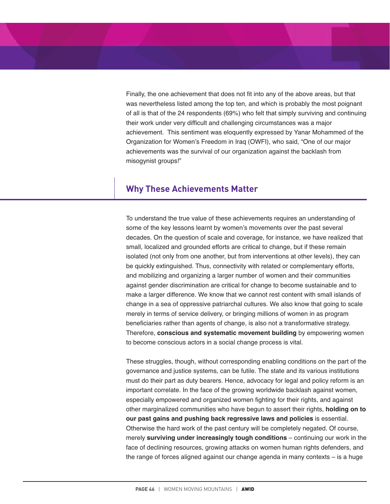Finally, the one achievement that does not fit into any of the above areas, but that was nevertheless listed among the top ten, and which is probably the most poignant of all is that of the 24 respondents (69%) who felt that simply surviving and continuing their work under very difficult and challenging circumstances was a major achievement. This sentiment was eloquently expressed by Yanar Mohammed of the Organization for Women's Freedom in Iraq (OWFI), who said, "One of our major achievements was the survival of our organization against the backlash from misogynist groups!"

## **Why These Achievements Matter**

To understand the true value of these achievements requires an understanding of some of the key lessons learnt by women's movements over the past several decades. On the question of scale and coverage, for instance, we have realized that small, localized and grounded efforts are critical to change, but if these remain isolated (not only from one another, but from interventions at other levels), they can be quickly extinguished. Thus, connectivity with related or complementary efforts, and mobilizing and organizing a larger number of women and their communities against gender discrimination are critical for change to become sustainable and to make a larger difference. We know that we cannot rest content with small islands of change in a sea of oppressive patriarchal cultures. We also know that going to scale merely in terms of service delivery, or bringing millions of women in as program beneficiaries rather than agents of change, is also not a transformative strategy. Therefore, **conscious and systematic movement building** by empowering women to become conscious actors in a social change process is vital.

These struggles, though, without corresponding enabling conditions on the part of the governance and justice systems, can be futile. The state and its various institutions must do their part as duty bearers. Hence, advocacy for legal and policy reform is an important correlate. In the face of the growing worldwide backlash against women, especially empowered and organized women fighting for their rights, and against other marginalized communities who have begun to assert their rights, **holding on to our past gains and pushing back regressive laws and policies** is essential. Otherwise the hard work of the past century will be completely negated. Of course, merely **surviving under increasingly tough conditions** – continuing our work in the face of declining resources, growing attacks on women human rights defenders, and the range of forces aligned against our change agenda in many contexts – is a huge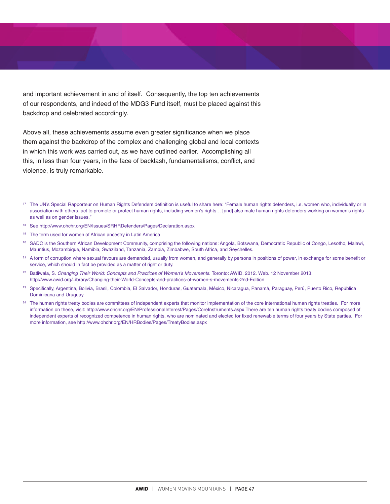and important achievement in and of itself. Consequently, the top ten achievements of our respondents, and indeed of the MDG3 Fund itself, must be placed against this backdrop and celebrated accordingly.

Above all, these achievements assume even greater significance when we place them against the backdrop of the complex and challenging global and local contexts in which this work was carried out, as we have outlined earlier. Accomplishing all this, in less than four years, in the face of backlash, fundamentalisms, conflict, and violence, is truly remarkable.

- <sup>17</sup> The UN's Special Rapporteur on Human Rights Defenders definition is useful to share here: "Female human rights defenders, i.e. women who, individually or in association with others, act to promote or protect human rights, including women's rights… [and] also male human rights defenders working on women's rights as well as on gender issues."
- <sup>18</sup> See http://www.ohchr.org/EN/Issues/SRHRDefenders/Pages/Declaration.aspx
- <sup>19</sup> The term used for women of African ancestry in Latin America
- <sup>20</sup> SADC is the Southern African Development Community, comprising the following nations: Angola, Botswana, Democratic Republic of Congo, Lesotho, Malawi, Mauritius, Mozambique, Namibia, Swaziland, Tanzania, Zambia, Zimbabwe, South Africa, and Seychelles.
- <sup>21</sup> A form of corruption where sexual favours are demanded, usually from women, and generally by persons in positions of power, in exchange for some benefit or service, which should in fact be provided as a matter of right or duty.
- <sup>22</sup> Batliwala, S. *Changing Their World: Concepts and Practices of Women's Movements*. Toronto: AWID. 2012. Web. 12 November 2013. http://www.awid.org/Library/Changing-their-World-Concepts-and-practices-of-women-s-movements-2nd-Edition
- <sup>23</sup> Specifically, Argentina, Bolivia, Brasil, Colombia, El Salvador, Honduras, Guatemala, México, Nicaragua, Panamá, Paraguay, Perú, Puerto Rico, República Dominicana and Uruguay
- <sup>24</sup> The human rights treaty bodies are committees of independent experts that monitor implementation of the core international human rights treaties. For more information on these, visit: http://www.ohchr.org/EN/ProfessionalInterest/Pages/CoreInstruments.aspx There are ten human rights treaty bodies composed of independent experts of recognized competence in human rights, who are nominated and elected for fixed renewable terms of four years by State parties. For more information, see http://www.ohchr.org/EN/HRBodies/Pages/TreatyBodies.aspx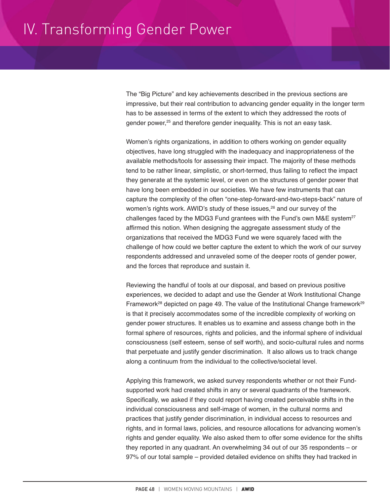The "Big Picture" and key achievements described in the previous sections are impressive, but their real contribution to advancing gender equality in the longer term has to be assessed in terms of the extent to which they addressed the roots of gender power, <sup>25</sup> and therefore gender inequality. This is not an easy task.

Women's rights organizations, in addition to others working on gender equality objectives, have long struggled with the inadequacy and inappropriateness of the available methods/tools for assessing their impact. The majority of these methods tend to be rather linear, simplistic, or short-termed, thus failing to reflect the impact they generate at the systemic level, or even on the structures of gender power that have long been embedded in our societies. We have few instruments that can capture the complexity of the often "one-step-forward-and-two-steps-back" nature of women's rights work. AWID's study of these issues, <sup>26</sup> and our survey of the challenges faced by the MDG3 Fund grantees with the Fund's own M&E system<sup>27</sup> affirmed this notion. When designing the aggregate assessment study of the organizations that received the MDG3 Fund we were squarely faced with the challenge of how could we better capture the extent to which the work of our survey respondents addressed and unraveled some of the deeper roots of gender power, and the forces that reproduce and sustain it.

Reviewing the handful of tools at our disposal, and based on previous positive experiences, we decided to adapt and use the Gender at Work Institutional Change Framework<sup>28</sup> depicted on page 49. The value of the Institutional Change framework<sup>29</sup> is that it precisely accommodates some of the incredible complexity of working on gender power structures. It enables us to examine and assess change both in the formal sphere of resources, rights and policies, and the informal sphere of individual consciousness (self esteem, sense of self worth), and socio-cultural rules and norms that perpetuate and justify gender discrimination. It also allows us to track change along a continuum from the individual to the collective/societal level.

Applying this framework, we asked survey respondents whether or not their Fundsupported work had created shifts in any or several quadrants of the framework. Specifically, we asked if they could report having created perceivable shifts in the individual consciousness and self-image of women, in the cultural norms and practices that justify gender discrimination, in individual access to resources and rights, and in formal laws, policies, and resource allocations for advancing women's rights and gender equality. We also asked them to offer some evidence for the shifts they reported in any quadrant. An overwhelming 34 out of our 35 respondents – or 97% of our total sample – provided detailed evidence on shifts they had tracked in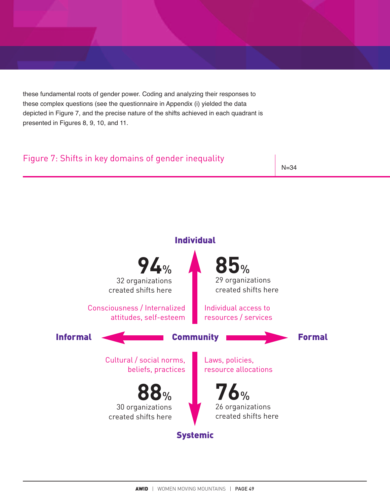these fundamental roots of gender power. Coding and analyzing their responses to these complex questions (see the questionnaire in Appendix (i) yielded the data depicted in Figure 7, and the precise nature of the shifts achieved in each quadrant is presented in Figures 8, 9, 10, and 11.

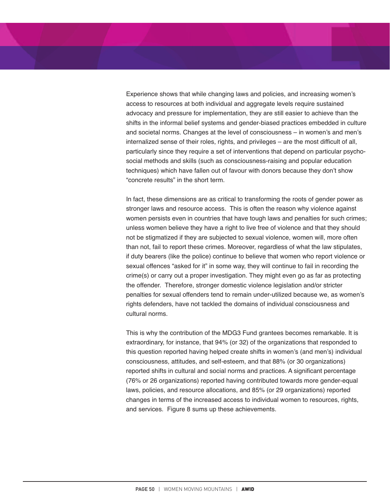Experience shows that while changing laws and policies, and increasing women's access to resources at both individual and aggregate levels require sustained advocacy and pressure for implementation, they are still easier to achieve than the shifts in the informal belief systems and gender-biased practices embedded in culture and societal norms. Changes at the level of consciousness – in women's and men's internalized sense of their roles, rights, and privileges – are the most difficult of all, particularly since they require a set of interventions that depend on particular psychosocial methods and skills (such as consciousness-raising and popular education techniques) which have fallen out of favour with donors because they don't show "concrete results" in the short term.

In fact, these dimensions are as critical to transforming the roots of gender power as stronger laws and resource access. This is often the reason why violence against women persists even in countries that have tough laws and penalties for such crimes; unless women believe they have a right to live free of violence and that they should not be stigmatized if they are subjected to sexual violence, women will, more often than not, fail to report these crimes. Moreover, regardless of what the law stipulates, if duty bearers (like the police) continue to believe that women who report violence or sexual offences "asked for it" in some way, they will continue to fail in recording the crime(s) or carry out a proper investigation. They might even go as far as protecting the offender. Therefore, stronger domestic violence legislation and/or stricter penalties for sexual offenders tend to remain under-utilized because we, as women's rights defenders, have not tackled the domains of individual consciousness and cultural norms.

This is why the contribution of the MDG3 Fund grantees becomes remarkable. It is extraordinary, for instance, that 94% (or 32) of the organizations that responded to this question reported having helped create shifts in women's (and men's) individual consciousness, attitudes, and self-esteem, and that 88% (or 30 organizations) reported shifts in cultural and social norms and practices. A significant percentage (76% or 26 organizations) reported having contributed towards more gender-equal laws, policies, and resource allocations, and 85% (or 29 organizations) reported changes in terms of the increased access to individual women to resources, rights, and services. Figure 8 sums up these achievements.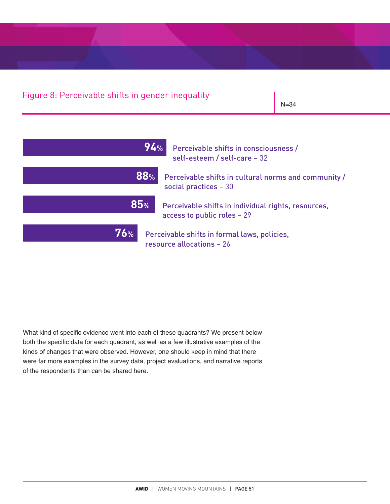## Figure 8: Perceivable shifts in gender inequality

N=34



What kind of specific evidence went into each of these quadrants? We present below both the specific data for each quadrant, as well as a few illustrative examples of the kinds of changes that were observed. However, one should keep in mind that there were far more examples in the survey data, project evaluations, and narrative reports of the respondents than can be shared here.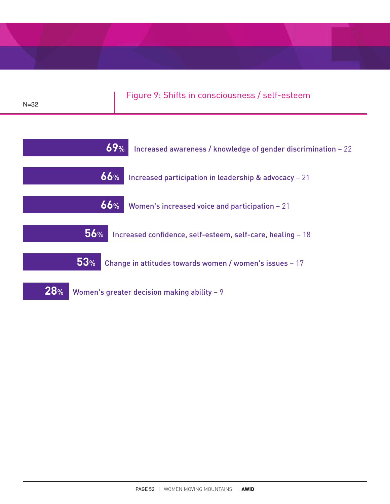|          | Figure 9: Shifts in consciousness / self-esteem |
|----------|-------------------------------------------------|
| $N = 32$ |                                                 |

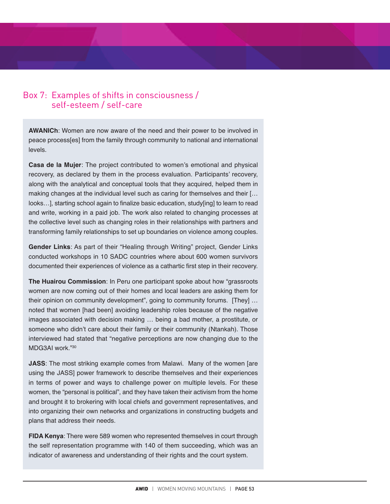## Box 7: Examples of shifts in consciousness / self-esteem / self-care

**AWANICh**: Women are now aware of the need and their power to be involved in peace process[es] from the family through community to national and international levels.

**Casa de la Mujer**: The project contributed to women's emotional and physical recovery, as declared by them in the process evaluation. Participants' recovery, along with the analytical and conceptual tools that they acquired, helped them in making changes at the individual level such as caring for themselves and their [… looks…], starting school again to finalize basic education, study[ing] to learn to read and write, working in a paid job. The work also related to changing processes at the collective level such as changing roles in their relationships with partners and transforming family relationships to set up boundaries on violence among couples.

**Gender Links**: As part of their "Healing through Writing" project, Gender Links conducted workshops in 10 SADC countries where about 600 women survivors documented their experiences of violence as a cathartic first step in their recovery.

**The Huairou Commission**: In Peru one participant spoke about how "grassroots women are now coming out of their homes and local leaders are asking them for their opinion on community development", going to community forums. [They] … noted that women [had been] avoiding leadership roles because of the negative images associated with decision making … being a bad mother, a prostitute, or someone who didn't care about their family or their community (Ntankah). Those interviewed had stated that "negative perceptions are now changing due to the MDG3AI work<sup>"30</sup>

**JASS:** The most striking example comes from Malawi. Many of the women [are using the JASS] power framework to describe themselves and their experiences in terms of power and ways to challenge power on multiple levels. For these women, the "personal is political", and they have taken their activism from the home and brought it to brokering with local chiefs and government representatives, and into organizing their own networks and organizations in constructing budgets and plans that address their needs.

**FIDA Kenya**: There were 589 women who represented themselves in court through the self representation programme with 140 of them succeeding, which was an indicator of awareness and understanding of their rights and the court system.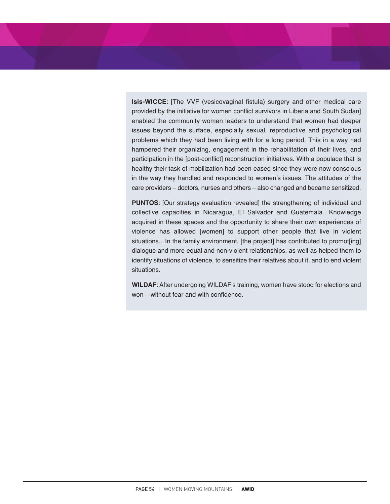**Isis-WICCE**: [The VVF (vesicovaginal fistula) surgery and other medical care provided by the initiative for women conflict survivors in Liberia and South Sudan] enabled the community women leaders to understand that women had deeper issues beyond the surface, especially sexual, reproductive and psychological problems which they had been living with for a long period. This in a way had hampered their organizing, engagement in the rehabilitation of their lives, and participation in the [post-conflict] reconstruction initiatives. With a populace that is healthy their task of mobilization had been eased since they were now conscious in the way they handled and responded to women's issues. The attitudes of the care providers – doctors, nurses and others – also changed and became sensitized.

**PUNTOS**: [Our strategy evaluation revealed] the strengthening of individual and collective capacities in Nicaragua, El Salvador and Guatemala…Knowledge acquired in these spaces and the opportunity to share their own experiences of violence has allowed [women] to support other people that live in violent situations…In the family environment, [the project] has contributed to promot[ing] dialogue and more equal and non-violent relationships, as well as helped them to identify situations of violence, to sensitize their relatives about it, and to end violent situations.

**WILDAF**: After undergoing WILDAF's training, women have stood for elections and won – without fear and with confidence.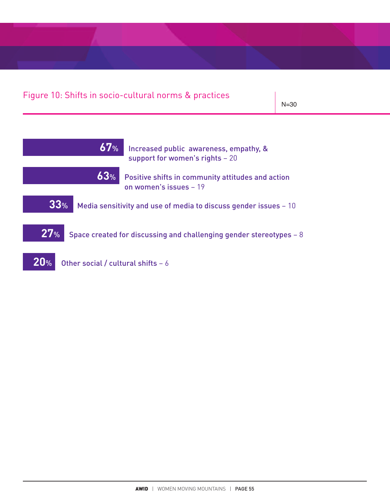# Figure 10: Shifts in socio-cultural norms & practices

N=30

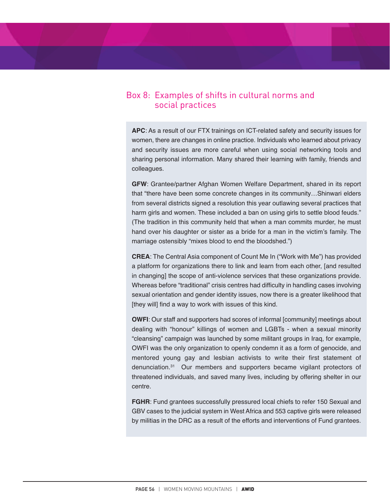## Box 8: Examples of shifts in cultural norms and social practices

**APC**: As a result of our FTX trainings on ICT-related safety and security issues for women, there are changes in online practice. Individuals who learned about privacy and security issues are more careful when using social networking tools and sharing personal information. Many shared their learning with family, friends and colleagues.

**GFW**: Grantee/partner Afghan Women Welfare Department, shared in its report that "there have been some concrete changes in its community…Shinwari elders from several districts signed a resolution this year outlawing several practices that harm girls and women. These included a ban on using girls to settle blood feuds." (The tradition in this community held that when a man commits murder, he must hand over his daughter or sister as a bride for a man in the victim's family. The marriage ostensibly "mixes blood to end the bloodshed.")

**CREA**: The Central Asia component of Count Me In ("Work with Me") has provided a platform for organizations there to link and learn from each other, [and resulted in changing] the scope of anti-violence services that these organizations provide. Whereas before "traditional" crisis centres had difficulty in handling cases involving sexual orientation and gender identity issues, now there is a greater likelihood that [they will] find a way to work with issues of this kind.

**OWFI**: Our staff and supporters had scores of informal [community] meetings about dealing with "honour" killings of women and LGBTs - when a sexual minority "cleansing" campaign was launched by some militant groups in Iraq, for example, OWFI was the only organization to openly condemn it as a form of genocide, and mentored young gay and lesbian activists to write their first statement of denunciation. <sup>31</sup> Our members and supporters became vigilant protectors of threatened individuals, and saved many lives, including by offering shelter in our centre.

**FGHR**: Fund grantees successfully pressured local chiefs to refer 150 Sexual and GBV cases to the judicial system in West Africa and 553 captive girls were released by militias in the DRC as a result of the efforts and interventions of Fund grantees.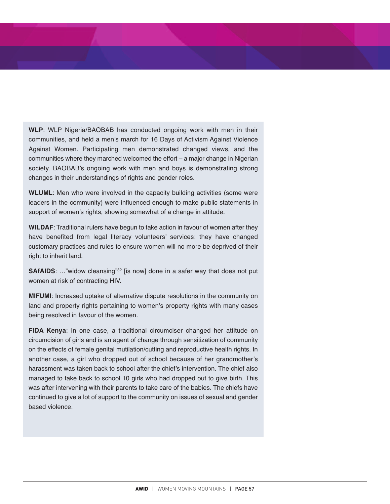**WLP**: WLP Nigeria/BAOBAB has conducted ongoing work with men in their communities, and held a men's march for 16 Days of Activism Against Violence Against Women. Participating men demonstrated changed views, and the communities where they marched welcomed the effort – a major change in Nigerian society. BAOBAB's ongoing work with men and boys is demonstrating strong changes in their understandings of rights and gender roles.

**WLUML**: Men who were involved in the capacity building activities (some were leaders in the community) were influenced enough to make public statements in support of women's rights, showing somewhat of a change in attitude.

**WILDAF**: Traditional rulers have begun to take action in favour of women after they have benefited from legal literacy volunteers' services: they have changed customary practices and rules to ensure women will no more be deprived of their right to inherit land.

**SAfAIDS**: ..."widow cleansing"<sup>32</sup> [is now] done in a safer way that does not put women at risk of contracting HIV.

**MIFUMI**: Increased uptake of alternative dispute resolutions in the community on land and property rights pertaining to women's property rights with many cases being resolved in favour of the women.

**FIDA Kenya**: In one case, a traditional circumciser changed her attitude on circumcision of girls and is an agent of change through sensitization of community on the effects of female genital mutilation/cutting and reproductive health rights. In another case, a girl who dropped out of school because of her grandmother's harassment was taken back to school after the chief's intervention. The chief also managed to take back to school 10 girls who had dropped out to give birth. This was after intervening with their parents to take care of the babies. The chiefs have continued to give a lot of support to the community on issues of sexual and gender based violence.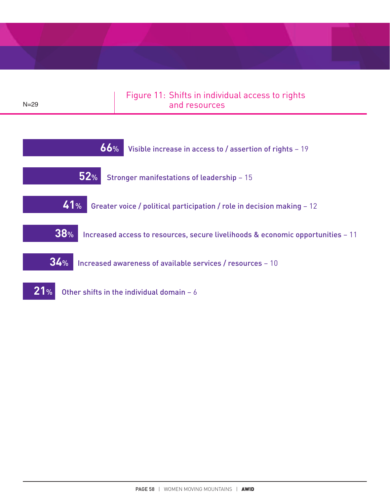

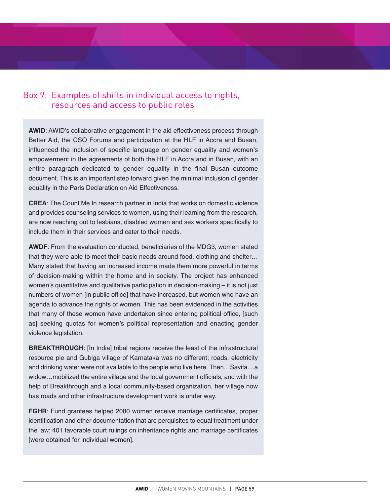## Box 9: Examples of shifts in individual access to rights, resources and access to public roles

**AWID**: AWID's collaborative engagement in the aid effectiveness process through Better Aid, the CSO Forums and participation at the HLF in Accra and Busan, influenced the inclusion of specific language on gender equality and women's empowerment in the agreements of both the HLF in Accra and in Busan, with an entire paragraph dedicated to gender equality in the final Busan outcome document. This is an important step forward given the minimal inclusion of gender equality in the Paris Declaration on Aid Effectiveness.

**CREA**: The Count Me In research partner in India that works on domestic violence and provides counseling services to women, using their learning from the research, are now reaching out to lesbians, disabled women and sex workers specifically to include them in their services and cater to their needs.

**AWDF**: From the evaluation conducted, beneficiaries of the MDG3, women stated that they were able to meet their basic needs around food, clothing and shelter… Many stated that having an increased income made them more powerful in terms of decision-making within the home and in society. The project has enhanced women's quantitative and qualitative participation in decision-making – it is not just numbers of women [in public office] that have increased, but women who have an agenda to advance the rights of women. This has been evidenced in the activities that many of these women have undertaken since entering political office, [such as] seeking quotas for women's political representation and enacting gender violence legislation.

**BREAKTHROUGH**: [In India] tribal regions receive the least of the infrastructural resource pie and Gubiga village of Karnataka was no different; roads, electricity and drinking water were not available to the people who live here. Then…Savita....a widow…mobilized the entire village and the local government officials, and with the help of Breakthrough and a local community-based organization, her village now has roads and other infrastructure development work is under way.

**FGHR**: Fund grantees helped 2080 women receive marriage certificates, proper identification and other documentation that are perquisites to equal treatment under the law; 401 favorable court rulings on inheritance rights and marriage certificates [were obtained for individual women].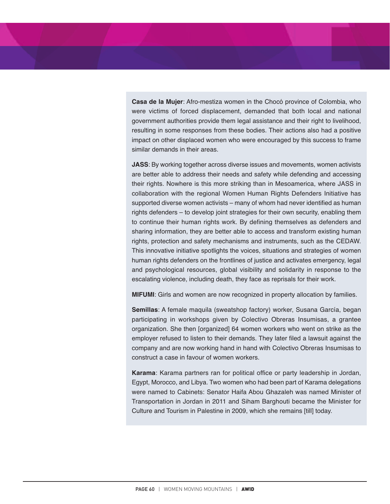**Casa de la Mujer**: Afro-mestiza women in the Chocó province of Colombia, who were victims of forced displacement, demanded that both local and national government authorities provide them legal assistance and their right to livelihood, resulting in some responses from these bodies. Their actions also had a positive impact on other displaced women who were encouraged by this success to frame similar demands in their areas.

**JASS**: By working together across diverse issues and movements, women activists are better able to address their needs and safety while defending and accessing their rights. Nowhere is this more striking than in Mesoamerica, where JASS in collaboration with the regional Women Human Rights Defenders Initiative has supported diverse women activists – many of whom had never identified as human rights defenders – to develop joint strategies for their own security, enabling them to continue their human rights work. By defining themselves as defenders and sharing information, they are better able to access and transform existing human rights, protection and safety mechanisms and instruments, such as the CEDAW. This innovative initiative spotlights the voices, situations and strategies of women human rights defenders on the frontlines of justice and activates emergency, legal and psychological resources, global visibility and solidarity in response to the escalating violence, including death, they face as reprisals for their work.

**MIFUMI**: Girls and women are now recognized in property allocation by families.

**Semillas**: A female maquila (sweatshop factory) worker, Susana García, began participating in workshops given by Colectivo Obreras Insumisas, a grantee organization. She then [organized] 64 women workers who went on strike as the employer refused to listen to their demands. They later filed a lawsuit against the company and are now working hand in hand with Colectivo Obreras Insumisas to construct a case in favour of women workers.

**Karama**: Karama partners ran for political office or party leadership in Jordan, Egypt, Morocco, and Libya. Two women who had been part of Karama delegations were named to Cabinets: Senator Haifa Abou Ghazaleh was named Minister of Transportation in Jordan in 2011 and Siham Barghouti became the Minister for Culture and Tourism in Palestine in 2009, which she remains [till] today.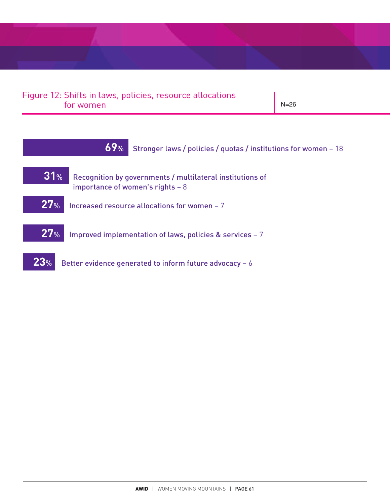## Figure 12: Shifts in laws, policies, resource allocations for women N=26

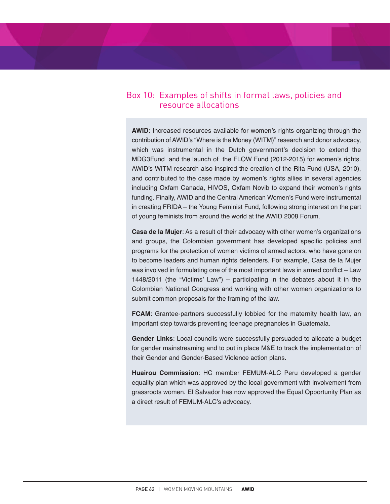## Box 10: Examples of shifts in formal laws, policies and resource allocations

**AWID**: Increased resources available for women's rights organizing through the contribution of AWID's "Where is the Money (WITM)" research and donor advocacy, which was instrumental in the Dutch government's decision to extend the MDG3Fund and the launch of the FLOW Fund (2012-2015) for women's rights. AWID's WITM research also inspired the creation of the Rita Fund (USA, 2010), and contributed to the case made by women's rights allies in several agencies including Oxfam Canada, HIVOS, Oxfam Novib to expand their women's rights funding. Finally, AWID and the Central American Women's Fund were instrumental in creating FRIDA – the Young Feminist Fund, following strong interest on the part of young feminists from around the world at the AWID 2008 Forum.

**Casa de la Mujer**: As a result of their advocacy with other women's organizations and groups, the Colombian government has developed specific policies and programs for the protection of women victims of armed actors, who have gone on to become leaders and human rights defenders. For example, Casa de la Mujer was involved in formulating one of the most important laws in armed conflict – Law 1448/2011 (the "Victims' Law") – participating in the debates about it in the Colombian National Congress and working with other women organizations to submit common proposals for the framing of the law.

**FCAM**: Grantee-partners successfully lobbied for the maternity health law, an important step towards preventing teenage pregnancies in Guatemala.

**Gender Links**: Local councils were successfully persuaded to allocate a budget for gender mainstreaming and to put in place M&E to track the implementation of their Gender and Gender-Based Violence action plans.

**Huairou Commission**: HC member FEMUM-ALC Peru developed a gender equality plan which was approved by the local government with involvement from grassroots women. El Salvador has now approved the Equal Opportunity Plan as a direct result of FEMUM-ALC's advocacy.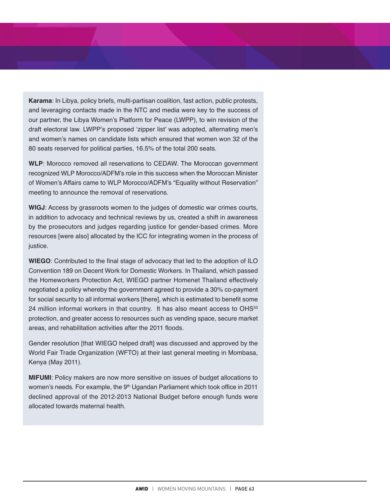**Karama**: In Libya, policy briefs, multi-partisan coalition, fast action, public protests, and leveraging contacts made in the NTC and media were key to the success of our partner, the Libya Women's Platform for Peace (LWPP), to win revision of the draft electoral law. LWPP's proposed 'zipper list' was adopted, alternating men's and women's names on candidate lists which ensured that women won 32 of the 80 seats reserved for political parties, 16.5% of the total 200 seats.

**WLP**: Morocco removed all reservations to CEDAW. The Moroccan government recognized WLP Morocco/ADFM's role in this success when the Moroccan Minister of Women's Affairs came to WLP Morocco/ADFM's "Equality without Reservation" meeting to announce the removal of reservations.

**WIGJ**: Access by grassroots women to the judges of domestic war crimes courts, in addition to advocacy and technical reviews by us, created a shift in awareness by the prosecutors and judges regarding justice for gender-based crimes. More resources [were also] allocated by the ICC for integrating women in the process of justice.

**WIEGO**: Contributed to the final stage of advocacy that led to the adoption of ILO Convention 189 on Decent Work for Domestic Workers. In Thailand, which passed the Homeworkers Protection Act, WIEGO partner Homenet Thailand effectively negotiated a policy whereby the government agreed to provide a 30% co-payment for social security to all informal workers [there], which is estimated to benefit some 24 million informal workers in that country. It has also meant access to OHS<sup>33</sup> protection, and greater access to resources such as vending space, secure market areas, and rehabilitation activities after the 2011 floods.

Gender resolution [that WIEGO helped draft] was discussed and approved by the World Fair Trade Organization (WFTO) at their last general meeting in Mombasa, Kenya (May 2011).

**MIFUMI**: Policy makers are now more sensitive on issues of budget allocations to women's needs. For example, the 9<sup>th</sup> Ugandan Parliament which took office in 2011 declined approval of the 2012-2013 National Budget before enough funds were allocated towards maternal health.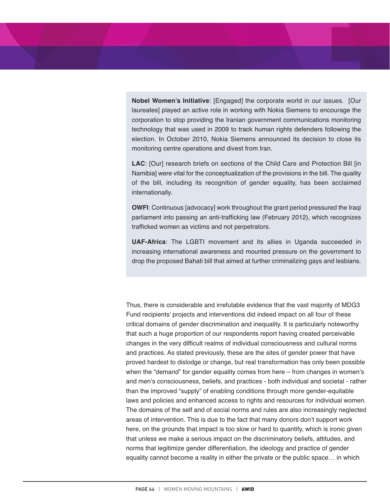**Nobel Women's Initiative**: [Engaged] the corporate world in our issues. [Our laureates] played an active role in working with Nokia Siemens to encourage the corporation to stop providing the Iranian government communications monitoring technology that was used in 2009 to track human rights defenders following the election. In October 2010, Nokia Siemens announced its decision to close its monitoring centre operations and divest from Iran.

**LAC**: [Our] research briefs on sections of the Child Care and Protection Bill [in Namibia] were vital for the conceptualization of the provisions in the bill. The quality of the bill, including its recognition of gender equality, has been acclaimed internationally.

**OWFI**: Continuous [advocacy] work throughout the grant period pressured the Iraqi parliament into passing an anti-trafficking law (February 2012), which recognizes trafficked women as victims and not perpetrators.

**UAF-Africa**: The LGBTI movement and its allies in Uganda succeeded in increasing international awareness and mounted pressure on the government to drop the proposed Bahati bill that aimed at further criminalizing gays and lesbians.

Thus, there is considerable and irrefutable evidence that the vast majority of MDG3 Fund recipients' projects and interventions did indeed impact on all four of these critical domains of gender discrimination and inequality. It is particularly noteworthy that such a huge proportion of our respondents report having created perceivable changes in the very difficult realms of individual consciousness and cultural norms and practices. As stated previously, these are the sites of gender power that have proved hardest to dislodge or change, but real transformation has only been possible when the "demand" for gender equality comes from here – from changes in women's and men's consciousness, beliefs, and practices - both individual and societal - rather than the improved "supply" of enabling conditions through more gender-equitable laws and policies and enhanced access to rights and resources for individual women. The domains of the self and of social norms and rules are also increasingly neglected areas of intervention. This is due to the fact that many donors don't support work here, on the grounds that impact is too slow or hard to quantify, which is ironic given that unless we make a serious impact on the discriminatory beliefs, attitudes, and norms that legitimize gender differentiation, the ideology and practice of gender equality cannot become a reality in either the private or the public space… in which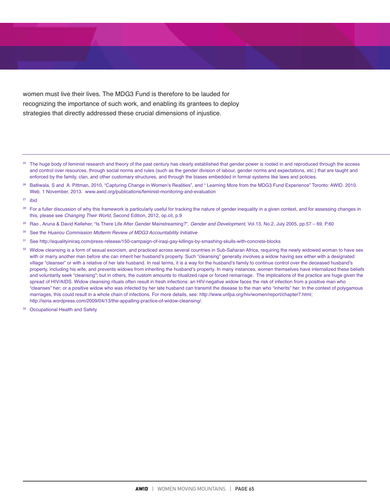women must live their lives. The MDG3 Fund is therefore to be lauded for recognizing the importance of such work, and enabling its grantees to deploy strategies that directly addressed these crucial dimensions of injustice.

- <sup>25</sup> The huge body of feminist research and theory of the past century has clearly established that gender power is rooted in and reproduced through the access and control over resources, through social norms and rules (such as the gender division of labour, gender norms and expectations, etc.) that are taught and enforced by the family, clan, and other customary structures, and through the biases embedded in formal systems like laws and policies.
- <sup>26</sup> Batliwala, S and A. Pittman, 2010, "Capturing Change in Women's Realities", and " Learning More from the MDG3 Fund Experience" Toronto: AWID. 2010. Web. 1 November, 2013. www.awid.org/publications/feminist-monitoring-and-evaluation
- <sup>27</sup> ibid
- <sup>28</sup> For a fuller discussion of why this framework is particularly useful for tracking the nature of gender inequality in a given context, and for assessing changes in this, please see *Changing Their World*, Second Edition, 2012, op.cit, p.9
- <sup>29</sup> Rao , Aruna & David Kelleher, "Is There Life After Gender Mainstreaming?", *Gender and Development*, Vol.13, No.2, July 2005, pp.57 69, P.60
- <sup>30</sup> See the *Huairou Commission Midterm Review of MDG3 Accountability Initiative*
- <sup>31</sup> See http://equalityiniraq.com/press-release/150-campaign-of-iraqi-gay-killings-by-smashing-skulls-with-concrete-blocks
- <sup>32</sup> Widow cleansing is a form of sexual exorcism, and practiced across several countries in Sub-Saharan Africa, requiring the newly widowed woman to have sex with or marry another man before she can inherit her husband's property. Such "cleansing" generally involves a widow having sex either with a designated village "cleanser" or with a relative of her late husband. In real terms, it is a way for the husband's family to continue control over the deceased husband's property, including his wife, and prevents widows from inheriting the husband's property. In many instances, women themselves have internalized these beliefs and voluntarily seek "cleansing"; but in others, the custom amounts to ritualized rape or forced remarriage. The implications of the practice are huge given the spread of HIV/AIDS. Widow cleansing rituals often result in fresh infections: an HIV-negative widow faces the risk of infection from a positive man who "cleanses" her; or a positive widow who was infected by her late husband can transmit the disease to the man who "inherits" her. In the context of polygamous marriages, this could result in a whole chain of infections. For more details, see: http://www.unfpa.org/hiv/women/report/chapter7.html; http://isiria.wordpress.com/2009/04/13/the-appalling-practice-of-widow-cleansing/.
- <sup>33</sup> Occupational Health and Safety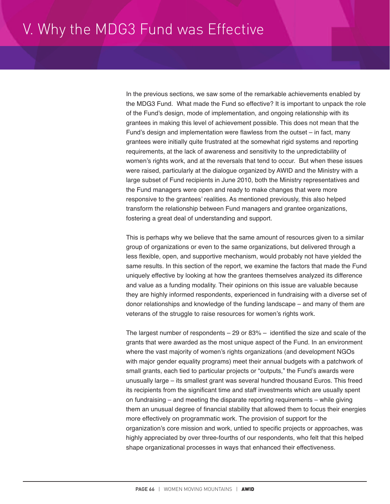# V. Why the MDG3 Fund was Effective

In the previous sections, we saw some of the remarkable achievements enabled by the MDG3 Fund. What made the Fund so effective? It is important to unpack the role of the Fund's design, mode of implementation, and ongoing relationship with its grantees in making this level of achievement possible. This does not mean that the Fund's design and implementation were flawless from the outset – in fact, many grantees were initially quite frustrated at the somewhat rigid systems and reporting requirements, at the lack of awareness and sensitivity to the unpredictability of women's rights work, and at the reversals that tend to occur. But when these issues were raised, particularly at the dialogue organized by AWID and the Ministry with a large subset of Fund recipients in June 2010, both the Ministry representatives and the Fund managers were open and ready to make changes that were more responsive to the grantees' realities. As mentioned previously, this also helped transform the relationship between Fund managers and grantee organizations, fostering a great deal of understanding and support.

This is perhaps why we believe that the same amount of resources given to a similar group of organizations or even to the same organizations, but delivered through a less flexible, open, and supportive mechanism, would probably not have yielded the same results. In this section of the report, we examine the factors that made the Fund uniquely effective by looking at how the grantees themselves analyzed its difference and value as a funding modality. Their opinions on this issue are valuable because they are highly informed respondents, experienced in fundraising with a diverse set of donor relationships and knowledge of the funding landscape – and many of them are veterans of the struggle to raise resources for women's rights work.

The largest number of respondents – 29 or 83% – identified the size and scale of the grants that were awarded as the most unique aspect of the Fund. In an environment where the vast majority of women's rights organizations (and development NGOs with major gender equality programs) meet their annual budgets with a patchwork of small grants, each tied to particular projects or "outputs," the Fund's awards were unusually large – its smallest grant was several hundred thousand Euros. This freed its recipients from the significant time and staff investments which are usually spent on fundraising – and meeting the disparate reporting requirements – while giving them an unusual degree of financial stability that allowed them to focus their energies more effectively on programmatic work. The provision of support for the organization's core mission and work, untied to specific projects or approaches, was highly appreciated by over three-fourths of our respondents, who felt that this helped shape organizational processes in ways that enhanced their effectiveness.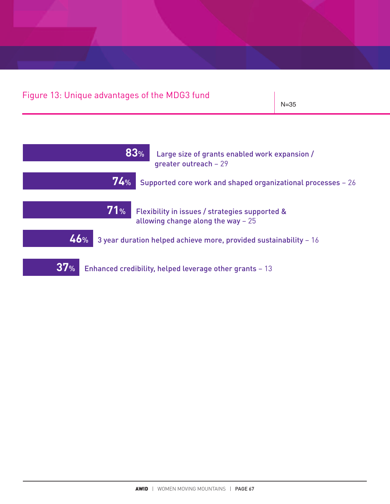# Figure 13: Unique advantages of the MDG3 fund N=35

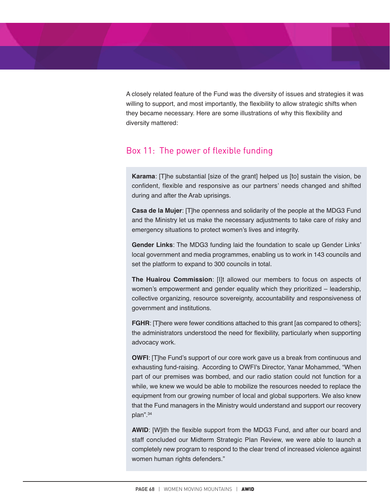A closely related feature of the Fund was the diversity of issues and strategies it was willing to support, and most importantly, the flexibility to allow strategic shifts when they became necessary. Here are some illustrations of why this flexibility and diversity mattered:

## Box 11: The power of flexible funding

**Karama**: [T]he substantial [size of the grant] helped us [to] sustain the vision, be confident, flexible and responsive as our partners' needs changed and shifted during and after the Arab uprisings.

**Casa de la Mujer**: [T]he openness and solidarity of the people at the MDG3 Fund and the Ministry let us make the necessary adjustments to take care of risky and emergency situations to protect women's lives and integrity.

**Gender Links**: The MDG3 funding laid the foundation to scale up Gender Links' local government and media programmes, enabling us to work in 143 councils and set the platform to expand to 300 councils in total.

**The Huairou Commission**: [I]t allowed our members to focus on aspects of women's empowerment and gender equality which they prioritized – leadership, collective organizing, resource sovereignty, accountability and responsiveness of government and institutions.

**FGHR:** [T]here were fewer conditions attached to this grant [as compared to others]; the administrators understood the need for flexibility, particularly when supporting advocacy work.

**OWFI**: [T]he Fund's support of our core work gave us a break from continuous and exhausting fund-raising. According to OWFI's Director, Yanar Mohammed, "When part of our premises was bombed, and our radio station could not function for a while, we knew we would be able to mobilize the resources needed to replace the equipment from our growing number of local and global supporters. We also knew that the Fund managers in the Ministry would understand and support our recovery plan". 34

**AWID**: [W]ith the flexible support from the MDG3 Fund, and after our board and staff concluded our Midterm Strategic Plan Review, we were able to launch a completely new program to respond to the clear trend of increased violence against women human rights defenders."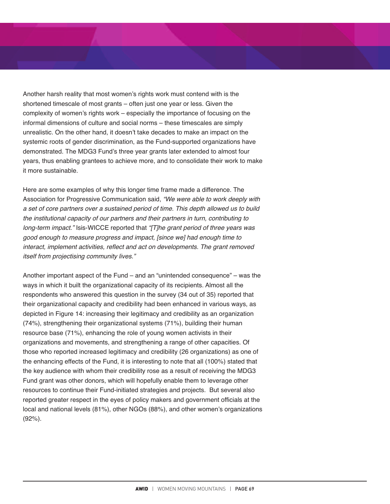Another harsh reality that most women's rights work must contend with is the shortened timescale of most grants – often just one year or less. Given the complexity of women's rights work – especially the importance of focusing on the informal dimensions of culture and social norms – these timescales are simply unrealistic. On the other hand, it doesn't take decades to make an impact on the systemic roots of gender discrimination, as the Fund-supported organizations have demonstrated. The MDG3 Fund's three year grants later extended to almost four years, thus enabling grantees to achieve more, and to consolidate their work to make it more sustainable.

Here are some examples of why this longer time frame made a difference. The Association for Progressive Communication said, *"We were able to work deeply with a set of core partners over a sustained period of time. This depth allowed us to build the institutional capacity of our partners and their partners in turn, contributing to long-term impact."* Isis-WICCE reported that *"[T]he grant period of three years was good enough to measure progress and impact, [since we] had enough time to interact, implement activities, reflect and act on developments. The grant removed itself from projectising community lives."*

Another important aspect of the Fund – and an "unintended consequence" – was the ways in which it built the organizational capacity of its recipients. Almost all the respondents who answered this question in the survey (34 out of 35) reported that their organizational capacity and credibility had been enhanced in various ways, as depicted in Figure 14: increasing their legitimacy and credibility as an organization (74%), strengthening their organizational systems (71%), building their human resource base (71%), enhancing the role of young women activists in their organizations and movements, and strengthening a range of other capacities. Of those who reported increased legitimacy and credibility (26 organizations) as one of the enhancing effects of the Fund, it is interesting to note that all (100%) stated that the key audience with whom their credibility rose as a result of receiving the MDG3 Fund grant was other donors, which will hopefully enable them to leverage other resources to continue their Fund-initiated strategies and projects. But several also reported greater respect in the eyes of policy makers and government officials at the local and national levels (81%), other NGOs (88%), and other women's organizations (92%).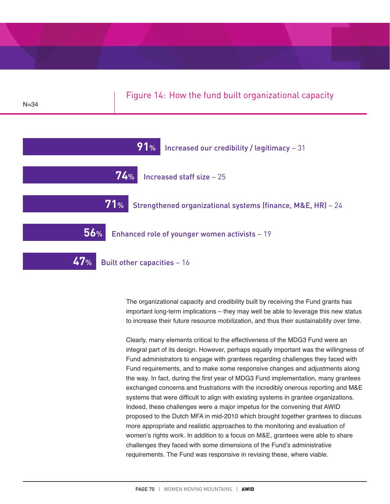Figure 14: How the fund built organizational capacity  $N=34$ % Increased our credibility / legitimacy - 31 % Increased staff size – <sup>25</sup> % Strengthened organizational systems (finance, M&E, HR) – <sup>24</sup> % Enhanced role of younger women activists – <sup>19</sup> % Built other capacities – <sup>16</sup>

> The organizational capacity and credibility built by receiving the Fund grants has important long-term implications – they may well be able to leverage this new status to increase their future resource mobilization, and thus their sustainability over time.

Clearly, many elements critical to the effectiveness of the MDG3 Fund were an integral part of its design. However, perhaps equally important was the willingness of Fund administrators to engage with grantees regarding challenges they faced with Fund requirements, and to make some responsive changes and adjustments along the way. In fact, during the first year of MDG3 Fund implementation, many grantees exchanged concerns and frustrations with the incredibly onerous reporting and M&E systems that were difficult to align with existing systems in grantee organizations. Indeed, these challenges were a major impetus for the convening that AWID proposed to the Dutch MFA in mid-2010 which brought together grantees to discuss more appropriate and realistic approaches to the monitoring and evaluation of women's rights work. In addition to a focus on M&E, grantees were able to share challenges they faced with some dimensions of the Fund's administrative requirements. The Fund was responsive in revising these, where viable.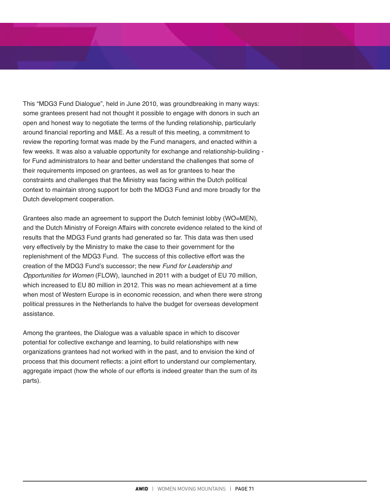This "MDG3 Fund Dialogue", held in June 2010, was groundbreaking in many ways: some grantees present had not thought it possible to engage with donors in such an open and honest way to negotiate the terms of the funding relationship, particularly around financial reporting and M&E. As a result of this meeting, a commitment to review the reporting format was made by the Fund managers, and enacted within a few weeks. It was also a valuable opportunity for exchange and relationship-building for Fund administrators to hear and better understand the challenges that some of their requirements imposed on grantees, as well as for grantees to hear the constraints and challenges that the Ministry was facing within the Dutch political context to maintain strong support for both the MDG3 Fund and more broadly for the Dutch development cooperation.

Grantees also made an agreement to support the Dutch feminist lobby (WO=MEN), and the Dutch Ministry of Foreign Affairs with concrete evidence related to the kind of results that the MDG3 Fund grants had generated so far. This data was then used very effectively by the Ministry to make the case to their government for the replenishment of the MDG3 Fund. The success of this collective effort was the creation of the MDG3 Fund's successor; the new *Fund for Leadership and Opportunities for Women* (FLOW), launched in 2011 with a budget of EU 70 million, which increased to EU 80 million in 2012. This was no mean achievement at a time when most of Western Europe is in economic recession, and when there were strong political pressures in the Netherlands to halve the budget for overseas development assistance.

Among the grantees, the Dialogue was a valuable space in which to discover potential for collective exchange and learning, to build relationships with new organizations grantees had not worked with in the past, and to envision the kind of process that this document reflects: a joint effort to understand our complementary, aggregate impact (how the whole of our efforts is indeed greater than the sum of its parts).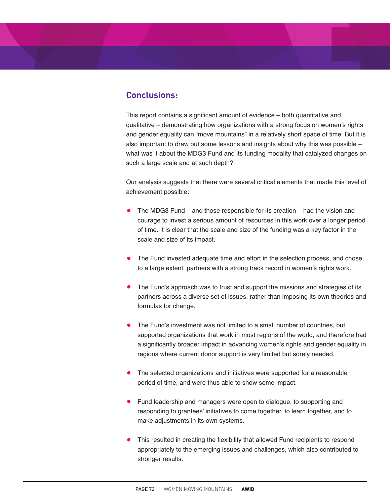## **Conclusions:**

This report contains a significant amount of evidence – both quantitative and qualitative – demonstrating how organizations with a strong focus on women's rights and gender equality can "move mountains" in a relatively short space of time. But it is also important to draw out some lessons and insights about why this was possible – what was it about the MDG3 Fund and its funding modality that catalyzed changes on such a large scale and at such depth?

Our analysis suggests that there were several critical elements that made this level of achievement possible:

- **•** The MDG3 Fund and those responsible for its creation had the vision and courage to invest a serious amount of resources in this work over a longer period of time. It is clear that the scale and size of the funding was a key factor in the scale and size of its impact.
- **•** The Fund invested adequate time and effort in the selection process, and chose, to a large extent, partners with a strong track record in women's rights work.
- **•** The Fund's approach was to trust and support the missions and strategies of its partners across a diverse set of issues, rather than imposing its own theories and formulas for change.
- **•** The Fund's investment was not limited to <sup>a</sup> small number of countries, but supported organizations that work in most regions of the world, and therefore had a significantly broader impact in advancing women's rights and gender equality in regions where current donor support is very limited but sorely needed.
- **•** The selected organizations and initiatives were supported for <sup>a</sup> reasonable period of time, and were thus able to show some impact.
- **•** Fund leadership and managers were open to dialogue, to supporting and responding to grantees' initiatives to come together, to learn together, and to make adjustments in its own systems.
- **•** This resulted in creating the flexibility that allowed Fund recipients to respond appropriately to the emerging issues and challenges, which also contributed to stronger results.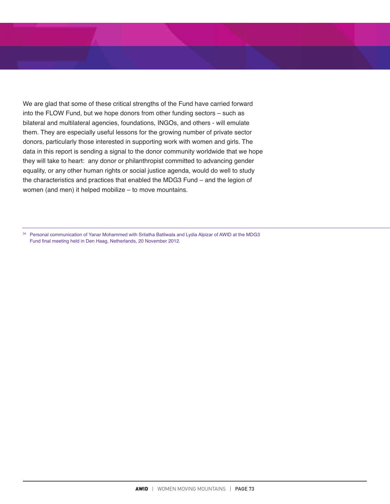We are glad that some of these critical strengths of the Fund have carried forward into the FLOW Fund, but we hope donors from other funding sectors – such as bilateral and multilateral agencies, foundations, INGOs, and others - will emulate them. They are especially useful lessons for the growing number of private sector donors, particularly those interested in supporting work with women and girls. The data in this report is sending a signal to the donor community worldwide that we hope they will take to heart: any donor or philanthropist committed to advancing gender equality, or any other human rights or social justice agenda, would do well to study the characteristics and practices that enabled the MDG3 Fund – and the legion of women (and men) it helped mobilize – to move mountains.

<sup>34</sup> Personal communication of Yanar Mohammed with Srilatha Batliwala and Lydia Alpizar of AWID at the MDG3 Fund final meeting held in Den Haag, Netherlands, 20 November 2012.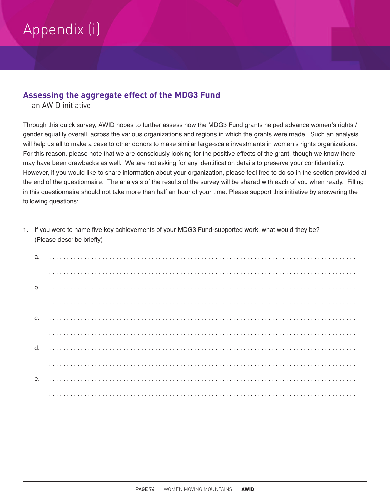#### **Assessing the aggregate effect of the MDG3 Fund**

— an AWID initiative

Through this quick survey, AWID hopes to further assess how the MDG3 Fund grants helped advance women's rights / gender equality overall, across the various organizations and regions in which the grants were made. Such an analysis will help us all to make a case to other donors to make similar large-scale investments in women's rights organizations. For this reason, please note that we are consciously looking for the positive effects of the grant, though we know there may have been drawbacks as well. We are not asking for any identification details to preserve your confidentiality. However, if you would like to share information about your organization, please feel free to do so in the section provided at the end of the questionnaire. The analysis of the results of the survey will be shared with each of you when ready. Filling in this questionnaire should not take more than half an hour of your time. Please support this initiative by answering the following questions:

1. If you were to name five key achievements of your MDG3 Fund-supported work, what would they be? (Please describe briefly)

| а.           |  |
|--------------|--|
|              |  |
| b.           |  |
|              |  |
| C.           |  |
|              |  |
| <sub>d</sub> |  |
|              |  |
| е.           |  |
|              |  |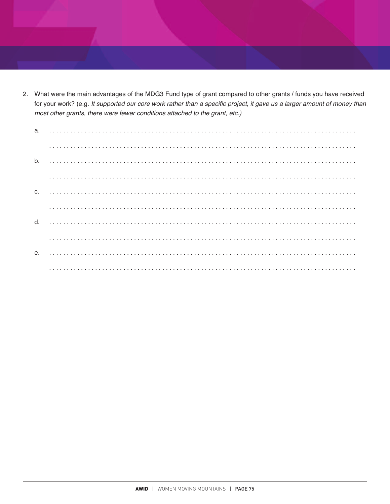2. What were the main advantages of the MDG3 Fund type of grant compared to other grants / funds you have received for your work? (e.g. It supported our core work rather than a specific project, it gave us a larger amount of money than most other grants, there were fewer conditions attached to the grant, etc.)

| a. |  |
|----|--|
|    |  |
| b. |  |
|    |  |
| C. |  |
|    |  |
| d. |  |
|    |  |
| е. |  |
|    |  |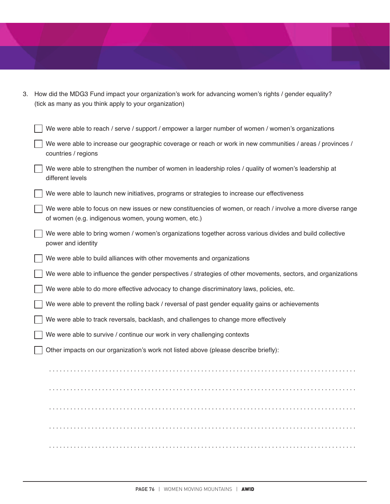| 3. | How did the MDG3 Fund impact your organization's work for advancing women's rights / gender equality?<br>(tick as many as you think apply to your organization)    |
|----|--------------------------------------------------------------------------------------------------------------------------------------------------------------------|
|    | We were able to reach / serve / support / empower a larger number of women / women's organizations                                                                 |
|    | We were able to increase our geographic coverage or reach or work in new communities / areas / provinces /<br>countries / regions                                  |
|    | We were able to strengthen the number of women in leadership roles / quality of women's leadership at<br>different levels                                          |
|    | We were able to launch new initiatives, programs or strategies to increase our effectiveness                                                                       |
|    | We were able to focus on new issues or new constituencies of women, or reach / involve a more diverse range<br>of women (e.g. indigenous women, young women, etc.) |
|    | We were able to bring women / women's organizations together across various divides and build collective<br>power and identity                                     |
|    | We were able to build alliances with other movements and organizations                                                                                             |
|    | We were able to influence the gender perspectives / strategies of other movements, sectors, and organizations                                                      |
|    | We were able to do more effective advocacy to change discriminatory laws, policies, etc.                                                                           |
|    | We were able to prevent the rolling back / reversal of past gender equality gains or achievements                                                                  |
|    | We were able to track reversals, backlash, and challenges to change more effectively                                                                               |
|    | We were able to survive / continue our work in very challenging contexts                                                                                           |
|    | Other impacts on our organization's work not listed above (please describe briefly):                                                                               |
|    |                                                                                                                                                                    |
|    |                                                                                                                                                                    |
|    |                                                                                                                                                                    |
|    |                                                                                                                                                                    |
|    |                                                                                                                                                                    |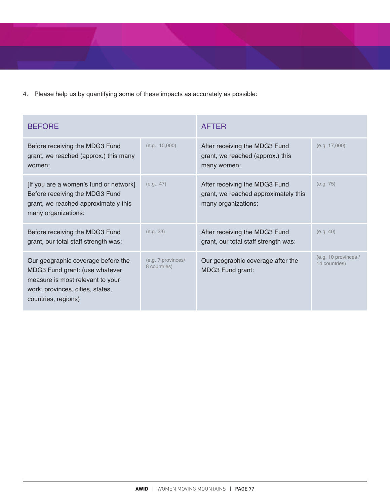4. Please help us by quantifying some of these impacts as accurately as possible:

| <b>BEFORE</b>                                                                                                                                                       |                                    | <b>AFTER</b>                                                                                 |                                       |
|---------------------------------------------------------------------------------------------------------------------------------------------------------------------|------------------------------------|----------------------------------------------------------------------------------------------|---------------------------------------|
| Before receiving the MDG3 Fund<br>grant, we reached (approx.) this many<br>women:                                                                                   | (e.g., 10,000)                     | After receiving the MDG3 Fund<br>grant, we reached (approx.) this<br>many women:             | (e.g. 17,000)                         |
| [If you are a women's fund or network]<br>Before receiving the MDG3 Fund<br>grant, we reached approximately this<br>many organizations:                             | (e.g., 47)                         | After receiving the MDG3 Fund<br>grant, we reached approximately this<br>many organizations: | (e.g. 75)                             |
| Before receiving the MDG3 Fund<br>grant, our total staff strength was:                                                                                              | (e.g. 23)                          | After receiving the MDG3 Fund<br>grant, our total staff strength was:                        | (e.g. 40)                             |
| Our geographic coverage before the<br>MDG3 Fund grant: (use whatever<br>measure is most relevant to your<br>work: provinces, cities, states,<br>countries, regions) | (e.g. 7 provinces/<br>8 countries) | Our geographic coverage after the<br>MDG3 Fund grant:                                        | (e.g. 10 provinces /<br>14 countries) |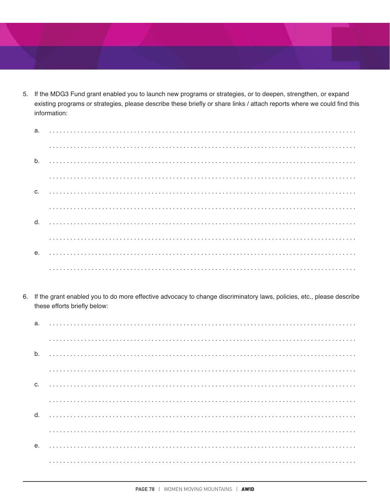5. If the MDG3 Fund grant enabled you to launch new programs or strategies, or to deepen, strengthen, or expand existing programs or strategies, please describe these briefly or share links / attach reports where we could find this information:

| a. |  |  |
|----|--|--|
|    |  |  |
|    |  |  |
|    |  |  |
|    |  |  |
|    |  |  |
|    |  |  |
|    |  |  |
|    |  |  |
|    |  |  |

6. If the grant enabled you to do more effective advocacy to change discriminatory laws, policies, etc., please describe these efforts briefly below:

a. b. c. a a la d. е.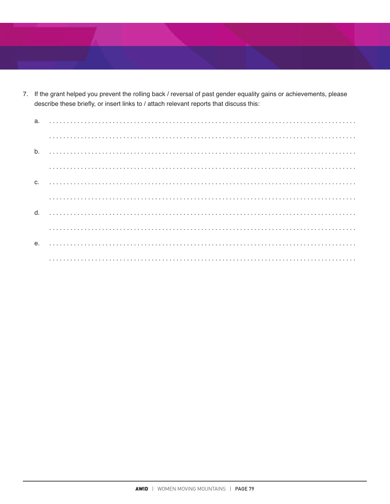7. If the grant helped you prevent the rolling back / reversal of past gender equality gains or achievements, please describe these briefly, or insert links to / attach relevant reports that discuss this:

| a.    |  |  |  |  |  |  |  |  |  |  |  |  |  |  |  |  |  |  |  |  |  |  |  |  |  |  |  |  |  |
|-------|--|--|--|--|--|--|--|--|--|--|--|--|--|--|--|--|--|--|--|--|--|--|--|--|--|--|--|--|--|
|       |  |  |  |  |  |  |  |  |  |  |  |  |  |  |  |  |  |  |  |  |  |  |  |  |  |  |  |  |  |
| $b$ . |  |  |  |  |  |  |  |  |  |  |  |  |  |  |  |  |  |  |  |  |  |  |  |  |  |  |  |  |  |
|       |  |  |  |  |  |  |  |  |  |  |  |  |  |  |  |  |  |  |  |  |  |  |  |  |  |  |  |  |  |
|       |  |  |  |  |  |  |  |  |  |  |  |  |  |  |  |  |  |  |  |  |  |  |  |  |  |  |  |  |  |
|       |  |  |  |  |  |  |  |  |  |  |  |  |  |  |  |  |  |  |  |  |  |  |  |  |  |  |  |  |  |
|       |  |  |  |  |  |  |  |  |  |  |  |  |  |  |  |  |  |  |  |  |  |  |  |  |  |  |  |  |  |
|       |  |  |  |  |  |  |  |  |  |  |  |  |  |  |  |  |  |  |  |  |  |  |  |  |  |  |  |  |  |
|       |  |  |  |  |  |  |  |  |  |  |  |  |  |  |  |  |  |  |  |  |  |  |  |  |  |  |  |  |  |
|       |  |  |  |  |  |  |  |  |  |  |  |  |  |  |  |  |  |  |  |  |  |  |  |  |  |  |  |  |  |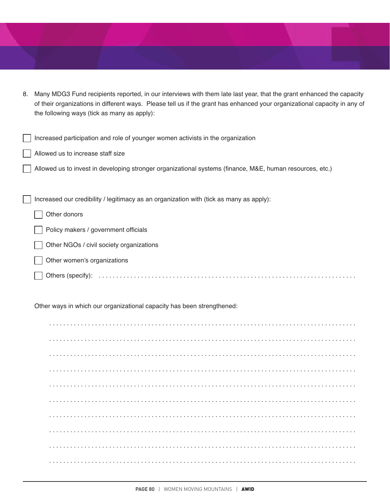| 8. | Many MDG3 Fund recipients reported, in our interviews with them late last year, that the grant enhanced the capacity<br>of their organizations in different ways. Please tell us if the grant has enhanced your organizational capacity in any of<br>the following ways (tick as many as apply): |
|----|--------------------------------------------------------------------------------------------------------------------------------------------------------------------------------------------------------------------------------------------------------------------------------------------------|
|    | Increased participation and role of younger women activists in the organization                                                                                                                                                                                                                  |
|    | Allowed us to increase staff size                                                                                                                                                                                                                                                                |
|    | Allowed us to invest in developing stronger organizational systems (finance, M&E, human resources, etc.)                                                                                                                                                                                         |
|    |                                                                                                                                                                                                                                                                                                  |
|    | Increased our credibility / legitimacy as an organization with (tick as many as apply):                                                                                                                                                                                                          |
|    | Other donors                                                                                                                                                                                                                                                                                     |
|    | Policy makers / government officials                                                                                                                                                                                                                                                             |
|    | Other NGOs / civil society organizations                                                                                                                                                                                                                                                         |
|    | Other women's organizations                                                                                                                                                                                                                                                                      |
|    | Others (specify):                                                                                                                                                                                                                                                                                |

Other ways in which our organizational capacity has been strengthened:

 . . . . . . . . . . . . . . . . . . . . . . . . . . . . . . . . . . . . . . . . . . . . . . . . . . . . . . . . . . . . . . . . . . . . . . . . . . . . . . . . . . . . . . . . . . . . . . . . . . . . . . . . . . . . . . . . . . . . . . . . . . . . . . . . . . . . . . . . . . . . . . . . . . . . . . . . . . . . . . . . . . . . . . . . . . . . . . . . . . . . . . . . . . . . . . . . . . . . . . . . . . . . . . . . . . . . . . . . . . . . . . . . . . . . . . . . . . . . . . . . . . . . . . . . . . . . . . . . . . . . . . . . . . . . . . . . . . . . . . . . . . . . . . . . . . . . . . . . . . . . . . . . . . . . . . . . . . . . . . . . . . . . . . . . . . . . . . . . . . . . . . . . . . . . . . . . . . . . . . . . . . . . . . . . . . . . . . . . . . . . . . . . . . . . . . . . . . . . . . . . . . . . . . . . . . . . . . . . . . . . . . . . . . . . . . . . . . . . . . . . . . . . . . . . . . . . . . . . . . . . . . . . . . . . . . . . . . . . . . . . . . . . . . . . . . . . . . . . . . . . . . . . . . . . . . . . . . . . . . . . . . . . . . . . . . . . . . . . . . . . . . . . . . . . . . . . . . . . . . . . . . . . . . . . . . . . . . . . . . . . . . . . . . . . . . . . . . . . . . . . . . . . . . . . . . . . . . . . . . . . . . . . . . . . . . . . . . . . . . . . . . . . . . . . . . . . . . . . . . . . . . . . . . . . . . . . . . . . . . . . . . . . . . . . . . . . . . . . . . . . . . . . . . . . . . . . . . . . . . . . . . . . . . . . . . . . . . . . . . . . . . . . . . . . . . . . . . . . . . . . . . . . . . . . . . . . . . . . . . . . . . . . . . . . . . . . . . . . . . . . . . . . . . . . . . . . . . . . . . . . . . . . . . . . . . . . . . . . . . . . . . . . . . . . . . . . . . . . . . . . . . . . . . . . . .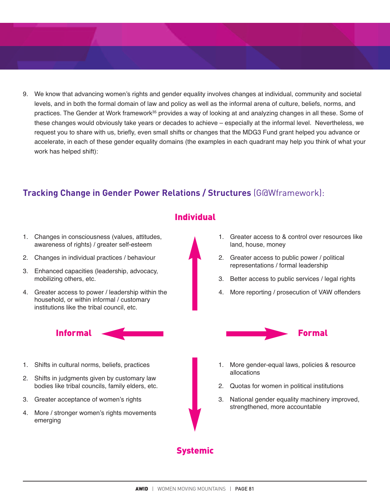9. We know that advancing women's rights and gender equality involves changes at individual, community and societal levels, and in both the formal domain of law and policy as well as the informal arena of culture, beliefs, norms, and practices. The Gender at Work framework<sup>35</sup> provides a way of looking at and analyzing changes in all these. Some of these changes would obviously take years or decades to achieve – especially at the informal level. Nevertheless, we request you to share with us, briefly, even small shifts or changes that the MDG3 Fund grant helped you advance or accelerate, in each of these gender equality domains (the examples in each quadrant may help you think of what your work has helped shift):

## **Tracking Change in Gender Power Relations / Structures** (G@Wframework):

- 1. Changes in consciousness (values, attitudes, awareness of rights) / greater self-esteem
- 2. Changes in individual practices / behaviour
- 3. Enhanced capacities (leadership, advocacy, mobilizing others, etc.
- 4. Greater access to power / leadership within the household, or within informal / customary institutions like the tribal council, etc.



- 1. Shifts in cultural norms, beliefs, practices
- 2. Shifts in judgments given by customary law bodies like tribal councils, family elders, etc.
- 3. Greater acceptance of women's rights
- 4. More / stronger women's rights movements emerging

#### **Individual**

- 1. Greater access to & control over resources like land, house, money
- 2. Greater access to public power / political representations / formal leadership
- 3. Better access to public services / legal rights
- 4. More reporting / prosecution of VAW offenders



- 1. More gender-equal laws, policies & resource allocations
- 2. Quotas for women in political institutions
- 3. National gender equality machinery improved, strengthened, more accountable

#### **Systemic**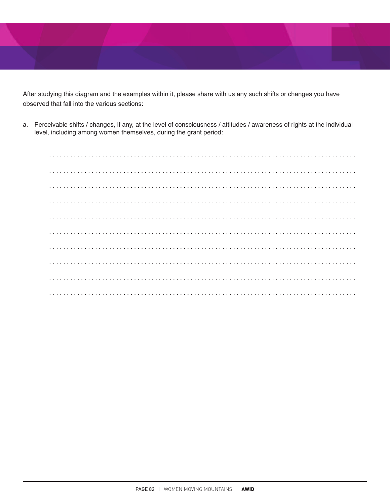

After studying this diagram and the examples within it, please share with us any such shifts or changes you have observed that fall into the various sections:

a. Perceivable shifts / changes, if any, at the level of consciousness / attitudes / awareness of rights at the individual level, including among women themselves, during the grant period: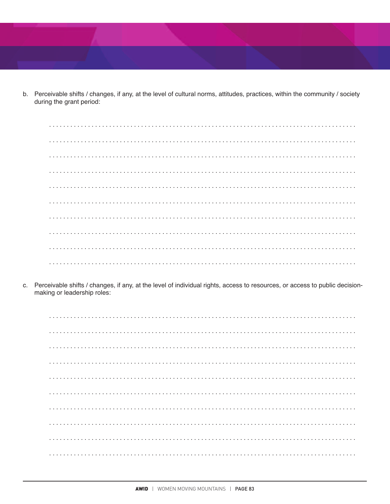b. Perceivable shifts / changes, if any, at the level of cultural norms, attitudes, practices, within the community / society during the grant period:

. . . . . . . . . . . . . . . . . . . . 

Perceivable shifts / changes, if any, at the level of individual rights, access to resources, or access to public decision-C. making or leadership roles: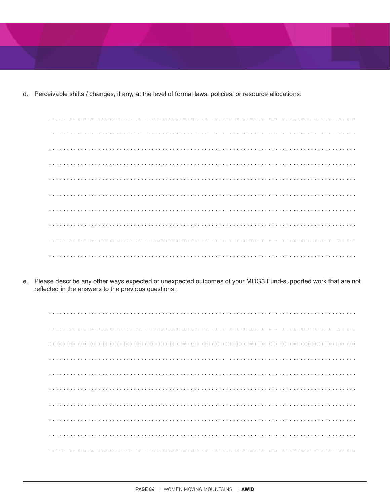d. Perceivable shifts / changes, if any, at the level of formal laws, policies, or resource allocations:

Please describe any other ways expected or unexpected outcomes of your MDG3 Fund-supported work that are not е. reflected in the answers to the previous questions: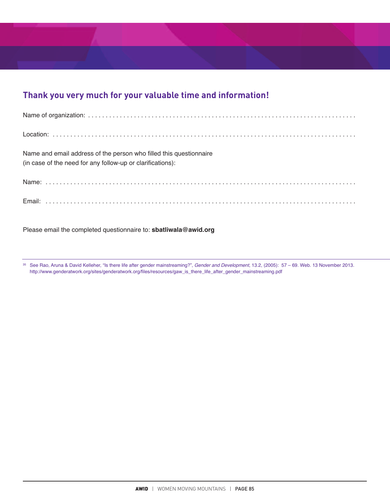### **Thank you very much for your valuable time and information!**

| Name and email address of the person who filled this questionnaire |
|--------------------------------------------------------------------|
| (in case of the need for any follow-up or clarifications):         |
|                                                                    |
|                                                                    |

Please email the completed questionnaire to: **sbatliwala@awid.org**

<sup>35</sup> See Rao, Aruna & David Kelleher, "Is there life after gender mainstreaming?", *Gender and Development*, 13.2, (2005): 57 – 69. Web. 13 November 2013. http://www.genderatwork.org/sites/genderatwork.org/files/resources/gaw\_is\_there\_life\_after\_gender\_mainstreaming.pdf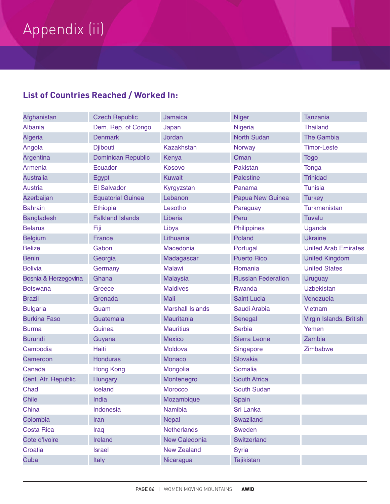# **List of Countries Reached / Worked In:**

| Afghanistan          | <b>Czech Republic</b>     | Jamaica                 | <b>Niger</b>              | <b>Tanzania</b>             |  |  |  |  |
|----------------------|---------------------------|-------------------------|---------------------------|-----------------------------|--|--|--|--|
| Albania              | Dem. Rep. of Congo        | Japan                   | Nigeria                   | <b>Thailand</b>             |  |  |  |  |
| <b>Algeria</b>       | <b>Denmark</b>            | Jordan                  | <b>North Sudan</b>        | <b>The Gambia</b>           |  |  |  |  |
| Angola               | <b>Djibouti</b>           | <b>Kazakhstan</b>       | Norway                    | <b>Timor-Leste</b>          |  |  |  |  |
| Argentina            | <b>Dominican Republic</b> | Kenya                   | Oman                      | <b>Togo</b>                 |  |  |  |  |
| Armenia              | Ecuador                   | Kosovo                  | Pakistan                  | Tonga                       |  |  |  |  |
| <b>Australia</b>     | Egypt                     | <b>Kuwait</b>           | Palestine                 | <b>Trinidad</b>             |  |  |  |  |
| Austria              | <b>El Salvador</b>        | Kyrgyzstan              | Panama                    | <b>Tunisia</b>              |  |  |  |  |
| Azerbaijan           | <b>Equatorial Guinea</b>  | Lebanon                 | Papua New Guinea          | <b>Turkey</b>               |  |  |  |  |
| <b>Bahrain</b>       | Ethiopia                  | Lesotho                 | Paraguay                  | <b>Turkmenistan</b>         |  |  |  |  |
| <b>Bangladesh</b>    | <b>Falkland Islands</b>   | Liberia                 | Peru                      | <b>Tuvalu</b>               |  |  |  |  |
| <b>Belarus</b>       | Fiji                      | Libya                   | Philippines               | Uganda                      |  |  |  |  |
| <b>Belgium</b>       | <b>France</b>             | Lithuania               | Poland                    | <b>Ukraine</b>              |  |  |  |  |
| <b>Belize</b>        | Gabon                     | Macedonia               | Portugal                  | <b>United Arab Emirates</b> |  |  |  |  |
| <b>Benin</b>         | Georgia                   | Madagascar              | <b>Puerto Rico</b>        | <b>United Kingdom</b>       |  |  |  |  |
| <b>Bolivia</b>       | Germany                   | <b>Malawi</b>           | Romania                   | <b>United States</b>        |  |  |  |  |
| Bosnia & Herzegovina | Ghana                     | Malaysia                | <b>Russian Federation</b> | <b>Uruguay</b>              |  |  |  |  |
| <b>Botswana</b>      | Greece                    | <b>Maldives</b>         | Rwanda                    | <b>Uzbekistan</b>           |  |  |  |  |
| <b>Brazil</b>        | Grenada                   | <b>Mali</b>             | <b>Saint Lucia</b>        | Venezuela                   |  |  |  |  |
| <b>Bulgaria</b>      | Guam                      | <b>Marshall Islands</b> | Saudi Arabia              | Vietnam                     |  |  |  |  |
| <b>Burkina Faso</b>  | Guatemala                 | Mauritania              | Senegal                   | Virgin Islands, British     |  |  |  |  |
| Burma                | Guinea                    | <b>Mauritius</b>        | Serbia                    | Yemen                       |  |  |  |  |
| <b>Burundi</b>       | Guyana                    | <b>Mexico</b>           | Sierra Leone              | Zambia                      |  |  |  |  |
| Cambodia             | Haiti                     | Moldova                 | Singapore                 | Zimbabwe                    |  |  |  |  |
| Cameroon             | <b>Honduras</b>           | Monaco                  | Slovakia                  |                             |  |  |  |  |
| Canada               | <b>Hong Kong</b>          | Mongolia                | Somalia                   |                             |  |  |  |  |
| Cent. Afr. Republic  | Hungary                   | Montenegro              | <b>South Africa</b>       |                             |  |  |  |  |
| Chad                 | Iceland                   | <b>Morocco</b>          | <b>South Sudan</b>        |                             |  |  |  |  |
| <b>Chile</b>         | India                     | Mozambique              | Spain                     |                             |  |  |  |  |
| China                | Indonesia                 | Namibia                 | Sri Lanka                 |                             |  |  |  |  |
| Colombia             | Iran                      | <b>Nepal</b>            | Swaziland                 |                             |  |  |  |  |
| <b>Costa Rica</b>    | Iraq                      | <b>Netherlands</b>      | Sweden                    |                             |  |  |  |  |
| Cote d'Ivoire        | Ireland                   | <b>New Caledonia</b>    | Switzerland               |                             |  |  |  |  |
| Croatia              | <b>Israel</b>             | <b>New Zealand</b>      | <b>Syria</b>              |                             |  |  |  |  |
| Cuba                 | <b>Italy</b>              | Nicaragua               | <b>Tajikistan</b>         |                             |  |  |  |  |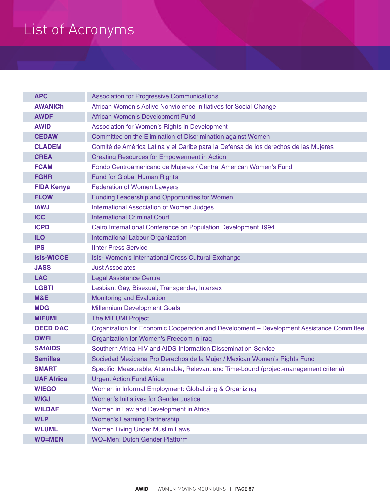# List of Acronyms

| <b>APC</b>        | <b>Association for Progressive Communications</b>                                        |
|-------------------|------------------------------------------------------------------------------------------|
| <b>AWANICh</b>    | African Women's Active Nonviolence Initiatives for Social Change                         |
| <b>AWDF</b>       | African Women's Development Fund                                                         |
| <b>AWID</b>       | Association for Women's Rights in Development                                            |
| <b>CEDAW</b>      | Committee on the Elimination of Discrimination against Women                             |
| <b>CLADEM</b>     | Comité de América Latina y el Caribe para la Defensa de los derechos de las Mujeres      |
| <b>CREA</b>       | <b>Creating Resources for Empowerment in Action</b>                                      |
| <b>FCAM</b>       | Fondo Centroamericano de Mujeres / Central American Women's Fund                         |
| <b>FGHR</b>       | Fund for Global Human Rights                                                             |
| <b>FIDA Kenya</b> | <b>Federation of Women Lawyers</b>                                                       |
| <b>FLOW</b>       | Funding Leadership and Opportunities for Women                                           |
| <b>IAWJ</b>       | <b>International Association of Women Judges</b>                                         |
| <b>ICC</b>        | <b>International Criminal Court</b>                                                      |
| <b>ICPD</b>       | Cairo International Conference on Population Development 1994                            |
| <b>ILO</b>        | International Labour Organization                                                        |
| <b>IPS</b>        | <b>IInter Press Service</b>                                                              |
| <b>Isis-WICCE</b> | Isis- Women's International Cross Cultural Exchange                                      |
| <b>JASS</b>       | <b>Just Associates</b>                                                                   |
| <b>LAC</b>        | <b>Legal Assistance Centre</b>                                                           |
| <b>LGBTI</b>      | Lesbian, Gay, Bisexual, Transgender, Intersex                                            |
| M&E               | <b>Monitoring and Evaluation</b>                                                         |
| <b>MDG</b>        | <b>Millennium Development Goals</b>                                                      |
| <b>MIFUMI</b>     | The MIFUMI Project                                                                       |
| <b>OECD DAC</b>   | Organization for Economic Cooperation and Development - Development Assistance Committee |
| <b>OWFI</b>       | Organization for Women's Freedom in Iraq                                                 |
| <b>SAfAIDS</b>    | Southern Africa HIV and AIDS Information Dissemination Service                           |
| <b>Semillas</b>   | Sociedad Mexicana Pro Derechos de la Mujer / Mexican Women's Rights Fund                 |
| <b>SMART</b>      | Specific, Measurable, Attainable, Relevant and Time-bound (project-management criteria)  |
| <b>UAF Africa</b> | <b>Urgent Action Fund Africa</b>                                                         |
| <b>WIEGO</b>      | Women in Informal Employment: Globalizing & Organizing                                   |
| <b>WIGJ</b>       | Women's Initiatives for Gender Justice                                                   |
| <b>WILDAF</b>     | Women in Law and Development in Africa                                                   |
| <b>WLP</b>        | <b>Women's Learning Partnership</b>                                                      |
| <b>WLUML</b>      | <b>Women Living Under Muslim Laws</b>                                                    |
| <b>WO=MEN</b>     | <b>WO=Men: Dutch Gender Platform</b>                                                     |